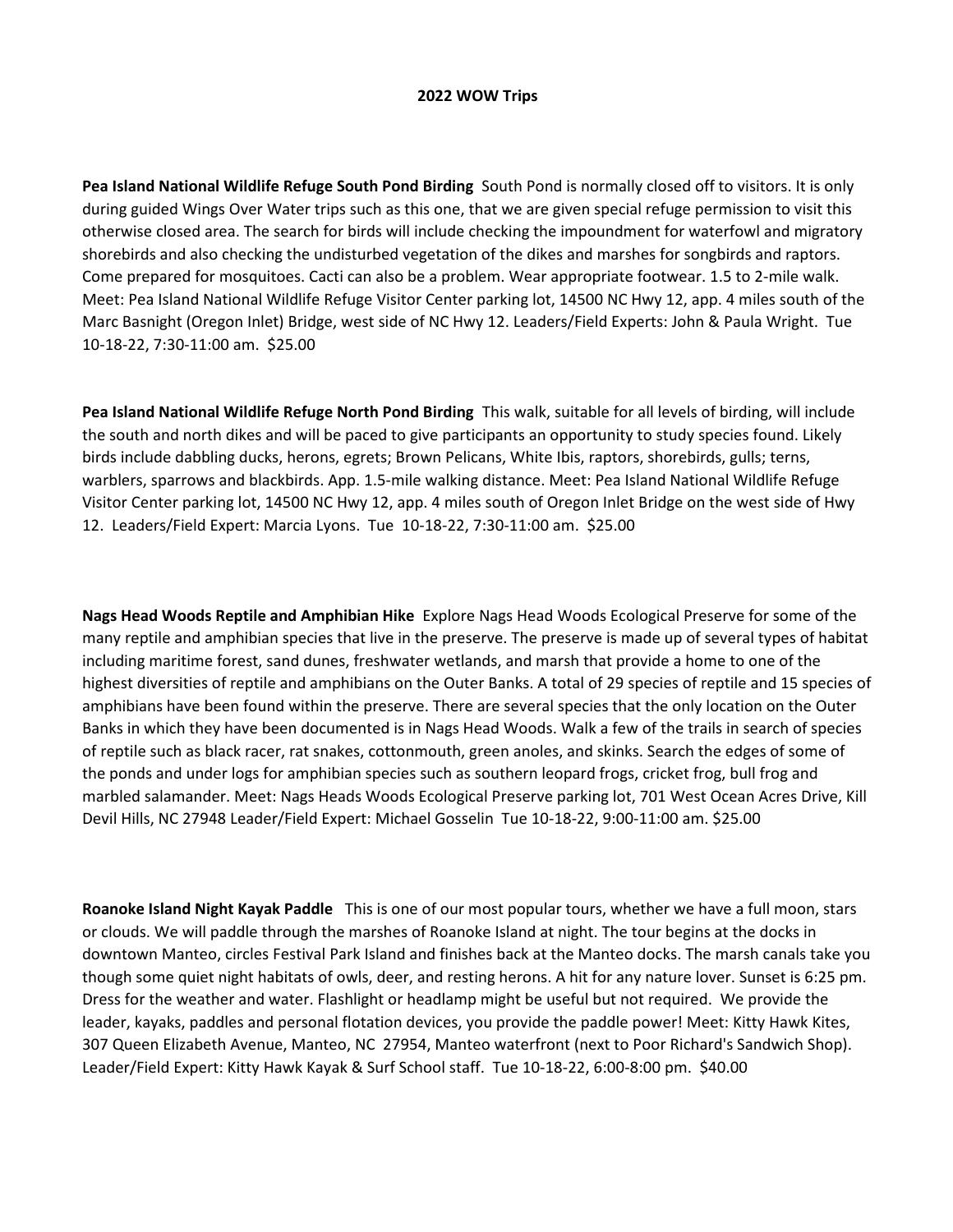## **2022 WOW Trips**

**Pea Island National Wildlife Refuge South Pond Birding** South Pond is normally closed off to visitors. It is only during guided Wings Over Water trips such as this one, that we are given special refuge permission to visit this otherwise closed area. The search for birds will include checking the impoundment for waterfowl and migratory shorebirds and also checking the undisturbed vegetation of the dikes and marshes for songbirds and raptors. Come prepared for mosquitoes. Cacti can also be a problem. Wear appropriate footwear. 1.5 to 2-mile walk. Meet: Pea Island National Wildlife Refuge Visitor Center parking lot, 14500 NC Hwy 12, app. 4 miles south of the Marc Basnight (Oregon Inlet) Bridge, west side of NC Hwy 12. Leaders/Field Experts: John & Paula Wright. Tue 10-18-22, 7:30-11:00 am. \$25.00

**Pea Island National Wildlife Refuge North Pond Birding** This walk, suitable for all levels of birding, will include the south and north dikes and will be paced to give participants an opportunity to study species found. Likely birds include dabbling ducks, herons, egrets; Brown Pelicans, White Ibis, raptors, shorebirds, gulls; terns, warblers, sparrows and blackbirds. App. 1.5-mile walking distance. Meet: Pea Island National Wildlife Refuge Visitor Center parking lot, 14500 NC Hwy 12, app. 4 miles south of Oregon Inlet Bridge on the west side of Hwy 12. Leaders/Field Expert: Marcia Lyons. Tue 10-18-22, 7:30-11:00 am. \$25.00

**Nags Head Woods Reptile and Amphibian Hike** Explore Nags Head Woods Ecological Preserve for some of the many reptile and amphibian species that live in the preserve. The preserve is made up of several types of habitat including maritime forest, sand dunes, freshwater wetlands, and marsh that provide a home to one of the highest diversities of reptile and amphibians on the Outer Banks. A total of 29 species of reptile and 15 species of amphibians have been found within the preserve. There are several species that the only location on the Outer Banks in which they have been documented is in Nags Head Woods. Walk a few of the trails in search of species of reptile such as black racer, rat snakes, cottonmouth, green anoles, and skinks. Search the edges of some of the ponds and under logs for amphibian species such as southern leopard frogs, cricket frog, bull frog and marbled salamander. Meet: Nags Heads Woods Ecological Preserve parking lot, 701 West Ocean Acres Drive, Kill Devil Hills, NC 27948 Leader/Field Expert: Michael Gosselin Tue 10-18-22, 9:00-11:00 am. \$25.00

**Roanoke Island Night Kayak Paddle** This is one of our most popular tours, whether we have a full moon, stars or clouds. We will paddle through the marshes of Roanoke Island at night. The tour begins at the docks in downtown Manteo, circles Festival Park Island and finishes back at the Manteo docks. The marsh canals take you though some quiet night habitats of owls, deer, and resting herons. A hit for any nature lover. Sunset is 6:25 pm. Dress for the weather and water. Flashlight or headlamp might be useful but not required. We provide the leader, kayaks, paddles and personal flotation devices, you provide the paddle power! Meet: Kitty Hawk Kites, 307 Queen Elizabeth Avenue, Manteo, NC 27954, Manteo waterfront (next to Poor Richard's Sandwich Shop). Leader/Field Expert: Kitty Hawk Kayak & Surf School staff. Tue 10-18-22, 6:00-8:00 pm. \$40.00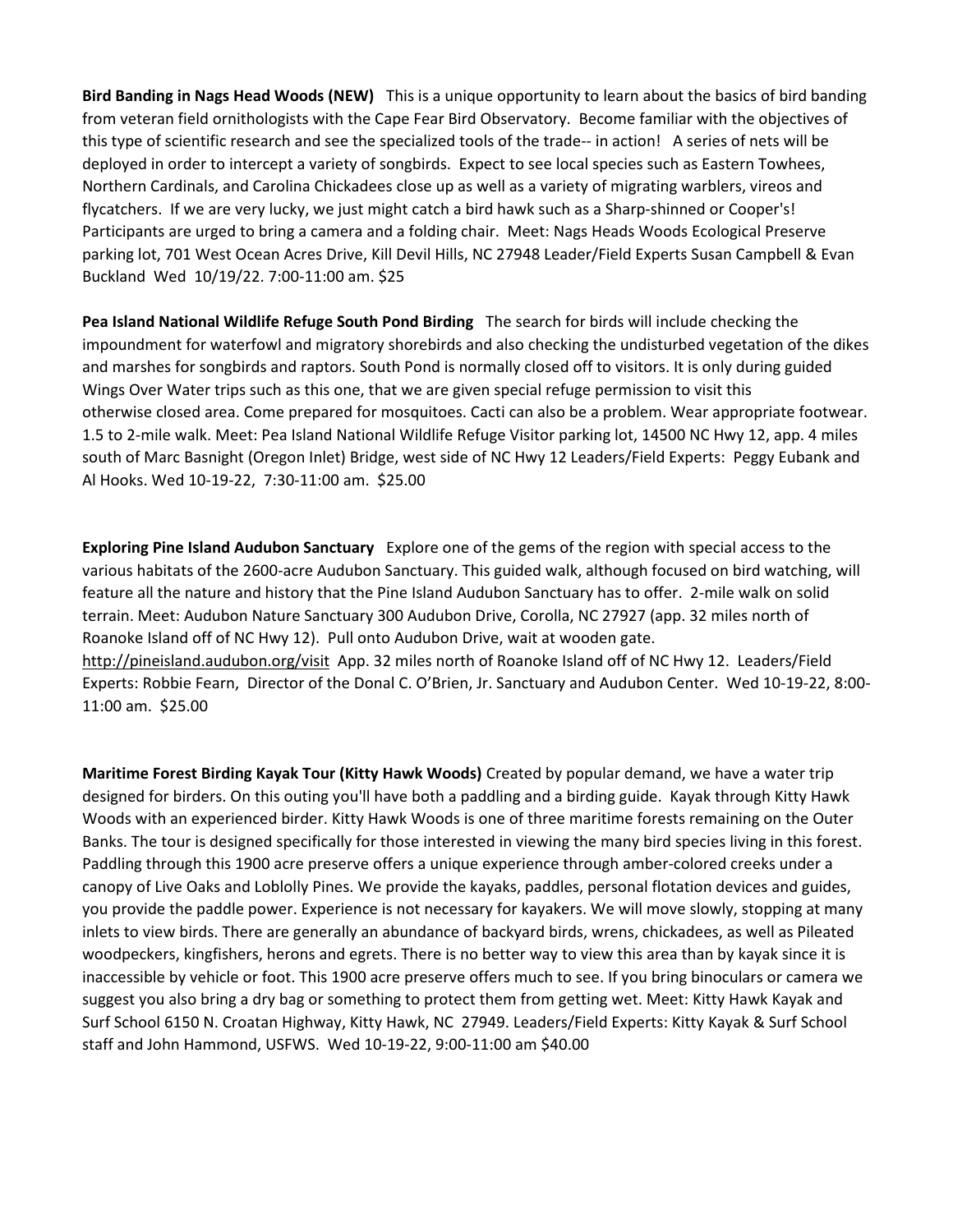**Bird Banding in Nags Head Woods (NEW)** This is a unique opportunity to learn about the basics of bird banding from veteran field ornithologists with the Cape Fear Bird Observatory. Become familiar with the objectives of this type of scientific research and see the specialized tools of the trade-- in action! A series of nets will be deployed in order to intercept a variety of songbirds. Expect to see local species such as Eastern Towhees, Northern Cardinals, and Carolina Chickadees close up as well as a variety of migrating warblers, vireos and flycatchers. If we are very lucky, we just might catch a bird hawk such as a Sharp-shinned or Cooper's! Participants are urged to bring a camera and a folding chair. Meet: Nags Heads Woods Ecological Preserve parking lot, 701 West Ocean Acres Drive, Kill Devil Hills, NC 27948 Leader/Field Experts Susan Campbell & Evan Buckland Wed 10/19/22. 7:00-11:00 am. \$25

**Pea Island National Wildlife Refuge South Pond Birding** The search for birds will include checking the impoundment for waterfowl and migratory shorebirds and also checking the undisturbed vegetation of the dikes and marshes for songbirds and raptors. South Pond is normally closed off to visitors. It is only during guided Wings Over Water trips such as this one, that we are given special refuge permission to visit this otherwise closed area. Come prepared for mosquitoes. Cacti can also be a problem. Wear appropriate footwear. 1.5 to 2-mile walk. Meet: Pea Island National Wildlife Refuge Visitor parking lot, 14500 NC Hwy 12, app. 4 miles south of Marc Basnight (Oregon Inlet) Bridge, west side of NC Hwy 12 Leaders/Field Experts: Peggy Eubank and Al Hooks. Wed 10-19-22, 7:30-11:00 am. \$25.00

**Exploring Pine Island Audubon Sanctuary** Explore one of the gems of the region with special access to the various habitats of the 2600-acre Audubon Sanctuary. This guided walk, although focused on bird watching, will feature all the nature and history that the Pine Island Audubon Sanctuary has to offer. 2-mile walk on solid terrain. Meet: Audubon Nature Sanctuary 300 Audubon Drive, Corolla, NC 27927 (app. 32 miles north of Roanoke Island off of NC Hwy 12). Pull onto Audubon Drive, wait at wooden gate. http://pineisland.audubon.org/visit App. 32 miles north of Roanoke Island off of NC Hwy 12. Leaders/Field Experts: Robbie Fearn, Director of the Donal C. O'Brien, Jr. Sanctuary and Audubon Center. Wed 10-19-22, 8:00- 11:00 am. \$25.00

**Maritime Forest Birding Kayak Tour (Kitty Hawk Woods)** Created by popular demand, we have a water trip designed for birders. On this outing you'll have both a paddling and a birding guide. Kayak through Kitty Hawk Woods with an experienced birder. Kitty Hawk Woods is one of three maritime forests remaining on the Outer Banks. The tour is designed specifically for those interested in viewing the many bird species living in this forest. Paddling through this 1900 acre preserve offers a unique experience through amber-colored creeks under a canopy of Live Oaks and Loblolly Pines. We provide the kayaks, paddles, personal flotation devices and guides, you provide the paddle power. Experience is not necessary for kayakers. We will move slowly, stopping at many inlets to view birds. There are generally an abundance of backyard birds, wrens, chickadees, as well as Pileated woodpeckers, kingfishers, herons and egrets. There is no better way to view this area than by kayak since it is inaccessible by vehicle or foot. This 1900 acre preserve offers much to see. If you bring binoculars or camera we suggest you also bring a dry bag or something to protect them from getting wet. Meet: Kitty Hawk Kayak and Surf School 6150 N. Croatan Highway, Kitty Hawk, NC 27949. Leaders/Field Experts: Kitty Kayak & Surf School staff and John Hammond, USFWS. Wed 10-19-22, 9:00-11:00 am \$40.00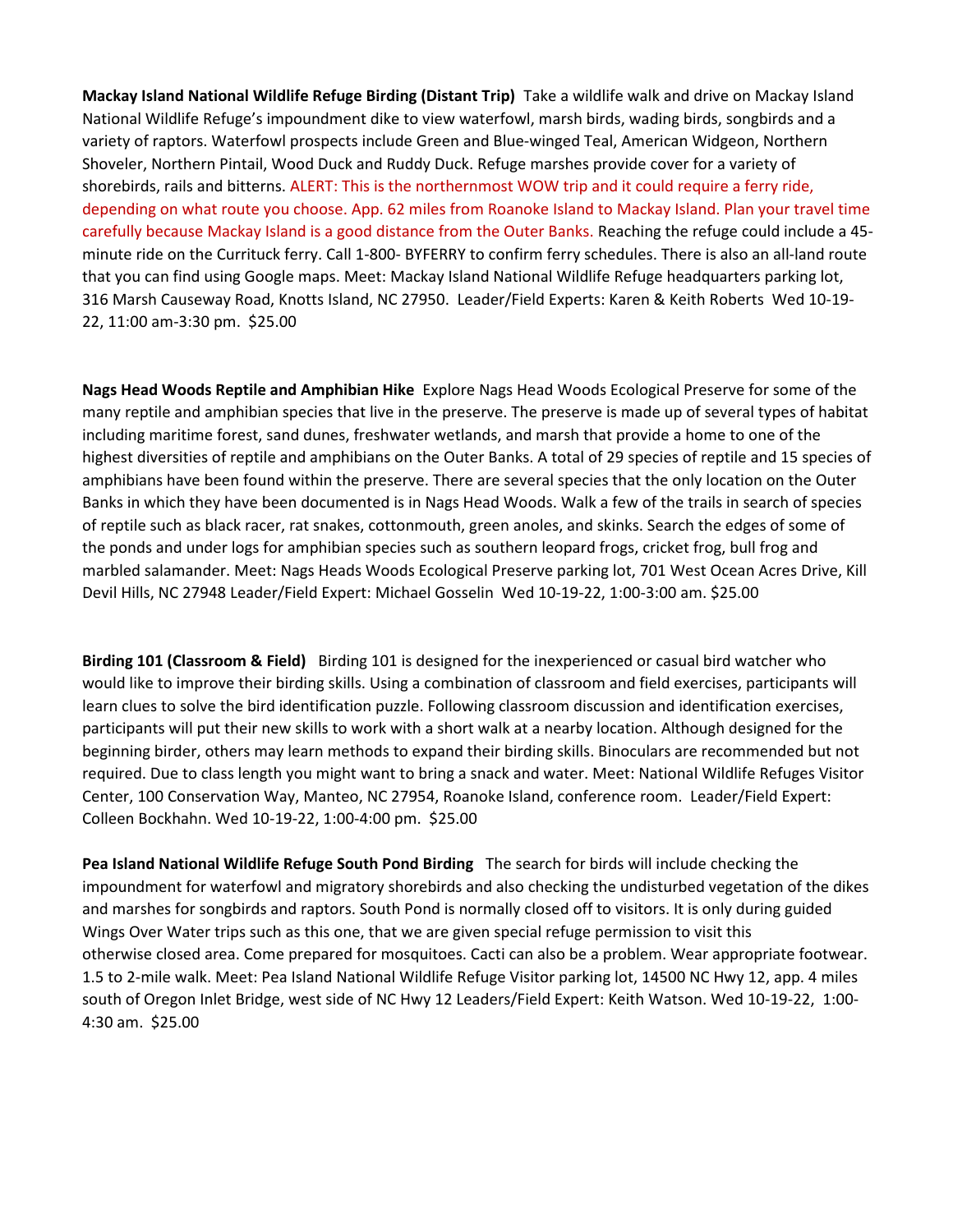**Mackay Island National Wildlife Refuge Birding (Distant Trip)** Take a wildlife walk and drive on Mackay Island National Wildlife Refuge's impoundment dike to view waterfowl, marsh birds, wading birds, songbirds and a variety of raptors. Waterfowl prospects include Green and Blue-winged Teal, American Widgeon, Northern Shoveler, Northern Pintail, Wood Duck and Ruddy Duck. Refuge marshes provide cover for a variety of shorebirds, rails and bitterns. ALERT: This is the northernmost WOW trip and it could require a ferry ride, depending on what route you choose. App. 62 miles from Roanoke Island to Mackay Island. Plan your travel time carefully because Mackay Island is a good distance from the Outer Banks. Reaching the refuge could include a 45 minute ride on the Currituck ferry. Call 1-800- BYFERRY to confirm ferry schedules. There is also an all-land route that you can find using Google maps. Meet: Mackay Island National Wildlife Refuge headquarters parking lot, 316 Marsh Causeway Road, Knotts Island, NC 27950. Leader/Field Experts: Karen & Keith Roberts Wed 10-19- 22, 11:00 am-3:30 pm. \$25.00

**Nags Head Woods Reptile and Amphibian Hike** Explore Nags Head Woods Ecological Preserve for some of the many reptile and amphibian species that live in the preserve. The preserve is made up of several types of habitat including maritime forest, sand dunes, freshwater wetlands, and marsh that provide a home to one of the highest diversities of reptile and amphibians on the Outer Banks. A total of 29 species of reptile and 15 species of amphibians have been found within the preserve. There are several species that the only location on the Outer Banks in which they have been documented is in Nags Head Woods. Walk a few of the trails in search of species of reptile such as black racer, rat snakes, cottonmouth, green anoles, and skinks. Search the edges of some of the ponds and under logs for amphibian species such as southern leopard frogs, cricket frog, bull frog and marbled salamander. Meet: Nags Heads Woods Ecological Preserve parking lot, 701 West Ocean Acres Drive, Kill Devil Hills, NC 27948 Leader/Field Expert: Michael Gosselin Wed 10-19-22, 1:00-3:00 am. \$25.00

**Birding 101 (Classroom & Field)** Birding 101 is designed for the inexperienced or casual bird watcher who would like to improve their birding skills. Using a combination of classroom and field exercises, participants will learn clues to solve the bird identification puzzle. Following classroom discussion and identification exercises, participants will put their new skills to work with a short walk at a nearby location. Although designed for the beginning birder, others may learn methods to expand their birding skills. Binoculars are recommended but not required. Due to class length you might want to bring a snack and water. Meet: National Wildlife Refuges Visitor Center, 100 Conservation Way, Manteo, NC 27954, Roanoke Island, conference room. Leader/Field Expert: Colleen Bockhahn. Wed 10-19-22, 1:00-4:00 pm. \$25.00

**Pea Island National Wildlife Refuge South Pond Birding** The search for birds will include checking the impoundment for waterfowl and migratory shorebirds and also checking the undisturbed vegetation of the dikes and marshes for songbirds and raptors. South Pond is normally closed off to visitors. It is only during guided Wings Over Water trips such as this one, that we are given special refuge permission to visit this otherwise closed area. Come prepared for mosquitoes. Cacti can also be a problem. Wear appropriate footwear. 1.5 to 2-mile walk. Meet: Pea Island National Wildlife Refuge Visitor parking lot, 14500 NC Hwy 12, app. 4 miles south of Oregon Inlet Bridge, west side of NC Hwy 12 Leaders/Field Expert: Keith Watson. Wed 10-19-22, 1:00- 4:30 am. \$25.00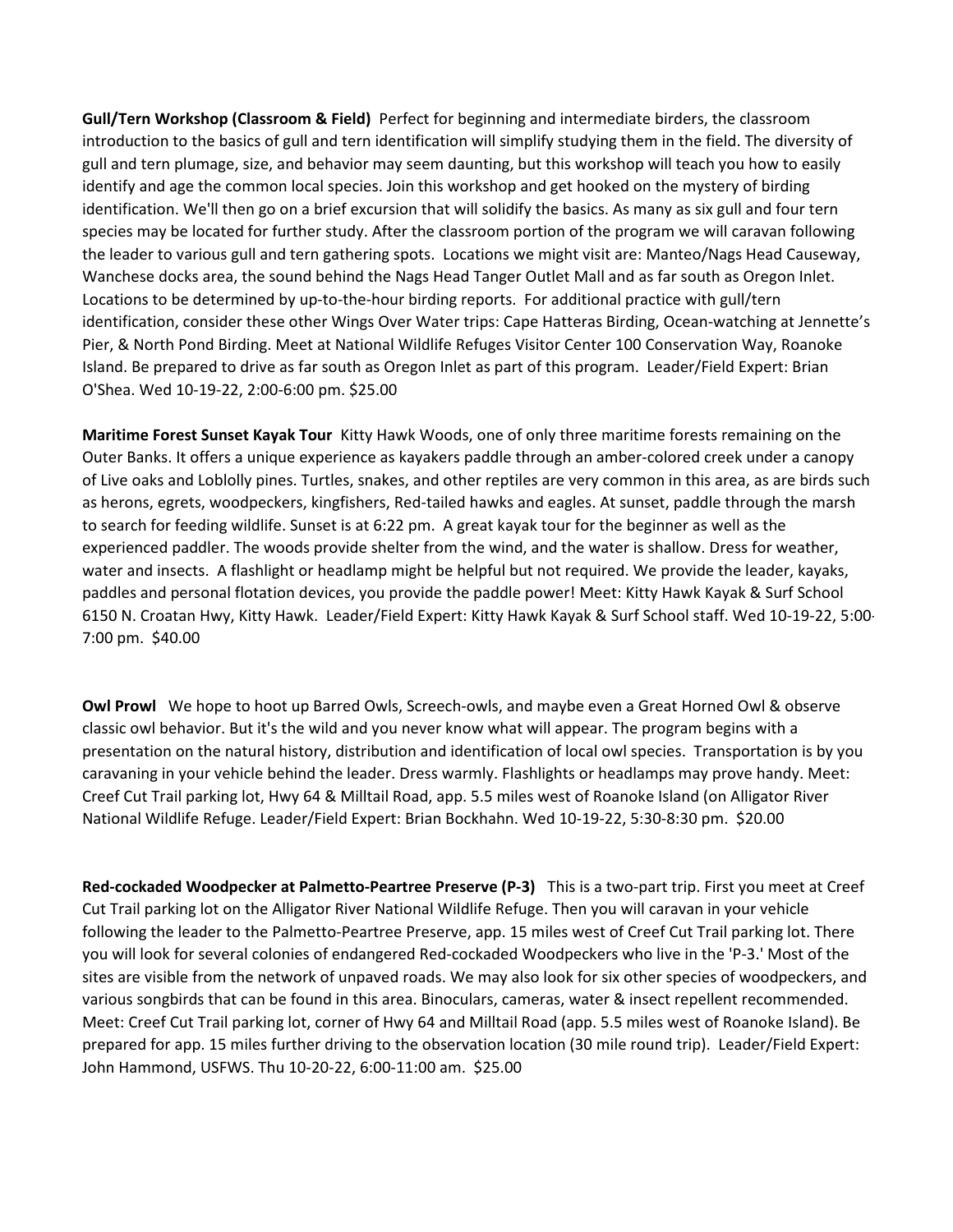**Gull/Tern Workshop (Classroom & Field)** Perfect for beginning and intermediate birders, the classroom introduction to the basics of gull and tern identification will simplify studying them in the field. The diversity of gull and tern plumage, size, and behavior may seem daunting, but this workshop will teach you how to easily identify and age the common local species. Join this workshop and get hooked on the mystery of birding identification. We'll then go on a brief excursion that will solidify the basics. As many as six gull and four tern species may be located for further study. After the classroom portion of the program we will caravan following the leader to various gull and tern gathering spots. Locations we might visit are: Manteo/Nags Head Causeway, Wanchese docks area, the sound behind the Nags Head Tanger Outlet Mall and as far south as Oregon Inlet. Locations to be determined by up-to-the-hour birding reports. For additional practice with gull/tern identification, consider these other Wings Over Water trips: Cape Hatteras Birding, Ocean-watching at Jennette's Pier, & North Pond Birding. Meet at National Wildlife Refuges Visitor Center 100 Conservation Way, Roanoke Island. Be prepared to drive as far south as Oregon Inlet as part of this program. Leader/Field Expert: Brian O'Shea. Wed 10-19-22, 2:00-6:00 pm. \$25.00

**Maritime Forest Sunset Kayak Tour** Kitty Hawk Woods, one of only three maritime forests remaining on the Outer Banks. It offers a unique experience as kayakers paddle through an amber-colored creek under a canopy of Live oaks and Loblolly pines. Turtles, snakes, and other reptiles are very common in this area, as are birds such as herons, egrets, woodpeckers, kingfishers, Red-tailed hawks and eagles. At sunset, paddle through the marsh to search for feeding wildlife. Sunset is at 6:22 pm. A great kayak tour for the beginner as well as the experienced paddler. The woods provide shelter from the wind, and the water is shallow. Dress for weather, water and insects. A flashlight or headlamp might be helpful but not required. We provide the leader, kayaks, paddles and personal flotation devices, you provide the paddle power! Meet: Kitty Hawk Kayak & Surf School 6150 N. Croatan Hwy, Kitty Hawk. Leader/Field Expert: Kitty Hawk Kayak & Surf School staff. Wed 10-19-22, 5:00- 7:00 pm. \$40.00

**Owl Prowl** We hope to hoot up Barred Owls, Screech-owls, and maybe even a Great Horned Owl & observe classic owl behavior. But it's the wild and you never know what will appear. The program begins with a presentation on the natural history, distribution and identification of local owl species. Transportation is by you caravaning in your vehicle behind the leader. Dress warmly. Flashlights or headlamps may prove handy. Meet: Creef Cut Trail parking lot, Hwy 64 & Milltail Road, app. 5.5 miles west of Roanoke Island (on Alligator River National Wildlife Refuge. Leader/Field Expert: Brian Bockhahn. Wed 10-19-22, 5:30-8:30 pm. \$20.00

**Red-cockaded Woodpecker at Palmetto-Peartree Preserve (P-3)** This is a two-part trip. First you meet at Creef Cut Trail parking lot on the Alligator River National Wildlife Refuge. Then you will caravan in your vehicle following the leader to the Palmetto-Peartree Preserve, app. 15 miles west of Creef Cut Trail parking lot. There you will look for several colonies of endangered Red-cockaded Woodpeckers who live in the 'P-3.' Most of the sites are visible from the network of unpaved roads. We may also look for six other species of woodpeckers, and various songbirds that can be found in this area. Binoculars, cameras, water & insect repellent recommended. Meet: Creef Cut Trail parking lot, corner of Hwy 64 and Milltail Road (app. 5.5 miles west of Roanoke Island). Be prepared for app. 15 miles further driving to the observation location (30 mile round trip). Leader/Field Expert: John Hammond, USFWS. Thu 10-20-22, 6:00-11:00 am. \$25.00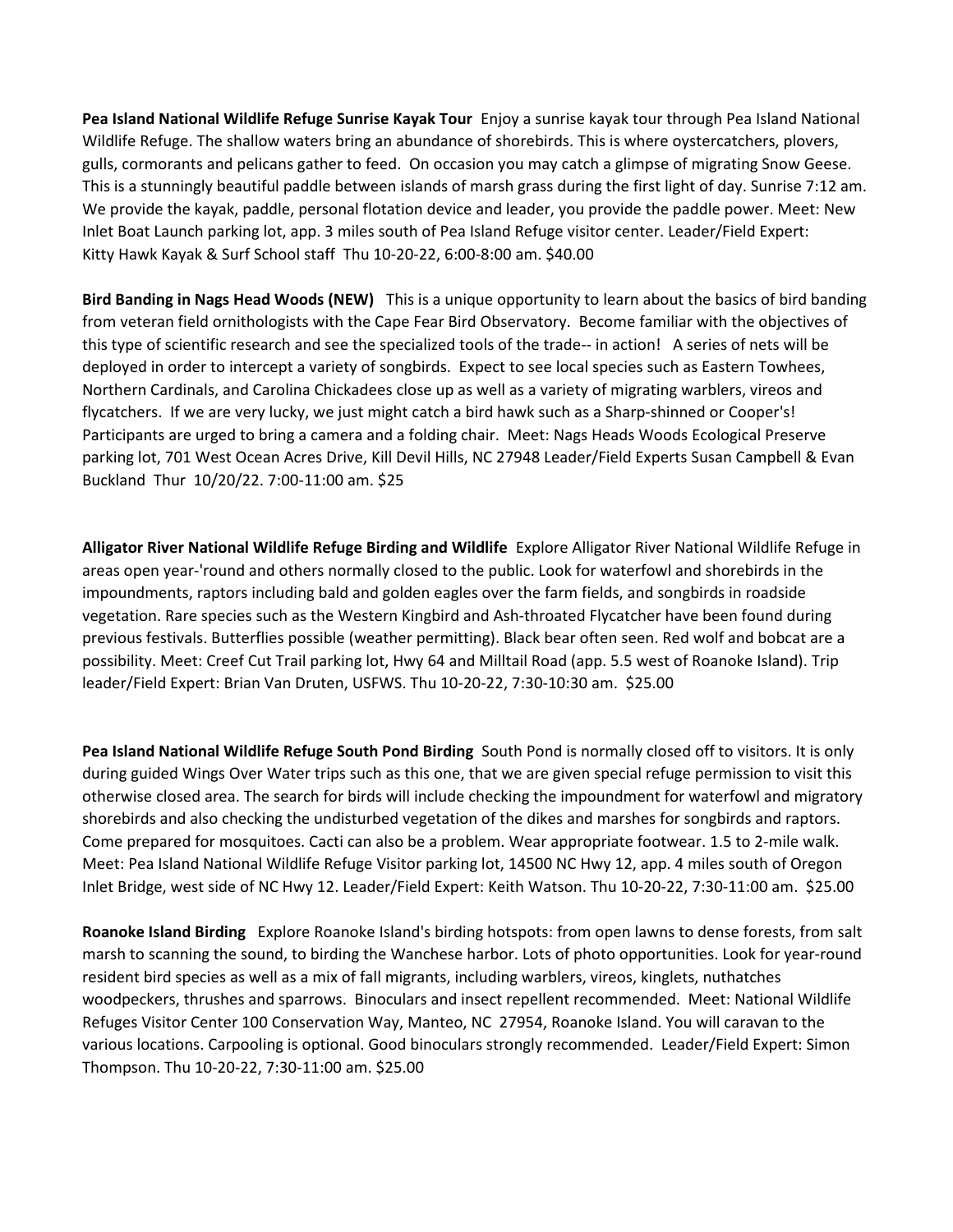**Pea Island National Wildlife Refuge Sunrise Kayak Tour** Enjoy a sunrise kayak tour through Pea Island National Wildlife Refuge. The shallow waters bring an abundance of shorebirds. This is where oystercatchers, plovers, gulls, cormorants and pelicans gather to feed. On occasion you may catch a glimpse of migrating Snow Geese. This is a stunningly beautiful paddle between islands of marsh grass during the first light of day. Sunrise 7:12 am. We provide the kayak, paddle, personal flotation device and leader, you provide the paddle power. Meet: New Inlet Boat Launch parking lot, app. 3 miles south of Pea Island Refuge visitor center. Leader/Field Expert: Kitty Hawk Kayak & Surf School staff Thu 10-20-22, 6:00-8:00 am. \$40.00

**Bird Banding in Nags Head Woods (NEW)** This is a unique opportunity to learn about the basics of bird banding from veteran field ornithologists with the Cape Fear Bird Observatory. Become familiar with the objectives of this type of scientific research and see the specialized tools of the trade-- in action! A series of nets will be deployed in order to intercept a variety of songbirds. Expect to see local species such as Eastern Towhees, Northern Cardinals, and Carolina Chickadees close up as well as a variety of migrating warblers, vireos and flycatchers. If we are very lucky, we just might catch a bird hawk such as a Sharp-shinned or Cooper's! Participants are urged to bring a camera and a folding chair. Meet: Nags Heads Woods Ecological Preserve parking lot, 701 West Ocean Acres Drive, Kill Devil Hills, NC 27948 Leader/Field Experts Susan Campbell & Evan Buckland Thur 10/20/22. 7:00-11:00 am. \$25

**Alligator River National Wildlife Refuge Birding and Wildlife** Explore Alligator River National Wildlife Refuge in areas open year-'round and others normally closed to the public. Look for waterfowl and shorebirds in the impoundments, raptors including bald and golden eagles over the farm fields, and songbirds in roadside vegetation. Rare species such as the Western Kingbird and Ash-throated Flycatcher have been found during previous festivals. Butterflies possible (weather permitting). Black bear often seen. Red wolf and bobcat are a possibility. Meet: Creef Cut Trail parking lot, Hwy 64 and Milltail Road (app. 5.5 west of Roanoke Island). Trip leader/Field Expert: Brian Van Druten, USFWS. Thu 10-20-22, 7:30-10:30 am. \$25.00

**Pea Island National Wildlife Refuge South Pond Birding** South Pond is normally closed off to visitors. It is only during guided Wings Over Water trips such as this one, that we are given special refuge permission to visit this otherwise closed area. The search for birds will include checking the impoundment for waterfowl and migratory shorebirds and also checking the undisturbed vegetation of the dikes and marshes for songbirds and raptors. Come prepared for mosquitoes. Cacti can also be a problem. Wear appropriate footwear. 1.5 to 2-mile walk. Meet: Pea Island National Wildlife Refuge Visitor parking lot, 14500 NC Hwy 12, app. 4 miles south of Oregon Inlet Bridge, west side of NC Hwy 12. Leader/Field Expert: Keith Watson. Thu 10-20-22, 7:30-11:00 am. \$25.00

**Roanoke Island Birding** Explore Roanoke Island's birding hotspots: from open lawns to dense forests, from salt marsh to scanning the sound, to birding the Wanchese harbor. Lots of photo opportunities. Look for year-round resident bird species as well as a mix of fall migrants, including warblers, vireos, kinglets, nuthatches woodpeckers, thrushes and sparrows. Binoculars and insect repellent recommended. Meet: National Wildlife Refuges Visitor Center 100 Conservation Way, Manteo, NC 27954, Roanoke Island. You will caravan to the various locations. Carpooling is optional. Good binoculars strongly recommended. Leader/Field Expert: Simon Thompson. Thu 10-20-22, 7:30-11:00 am. \$25.00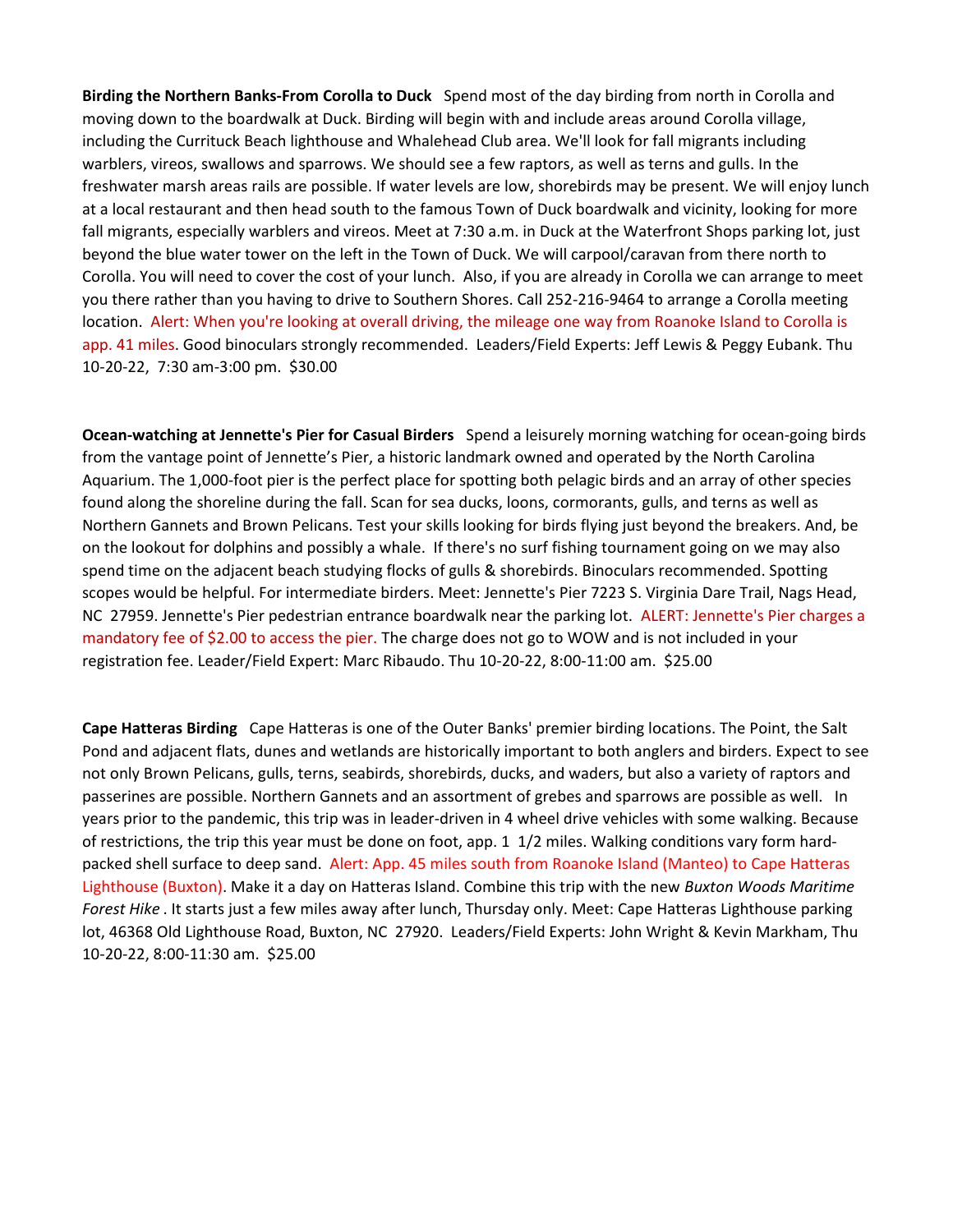**Birding the Northern Banks-From Corolla to Duck** Spend most of the day birding from north in Corolla and moving down to the boardwalk at Duck. Birding will begin with and include areas around Corolla village, including the Currituck Beach lighthouse and Whalehead Club area. We'll look for fall migrants including warblers, vireos, swallows and sparrows. We should see a few raptors, as well as terns and gulls. In the freshwater marsh areas rails are possible. If water levels are low, shorebirds may be present. We will enjoy lunch at a local restaurant and then head south to the famous Town of Duck boardwalk and vicinity, looking for more fall migrants, especially warblers and vireos. Meet at 7:30 a.m. in Duck at the Waterfront Shops parking lot, just beyond the blue water tower on the left in the Town of Duck. We will carpool/caravan from there north to Corolla. You will need to cover the cost of your lunch. Also, if you are already in Corolla we can arrange to meet you there rather than you having to drive to Southern Shores. Call 252-216-9464 to arrange a Corolla meeting location. Alert: When you're looking at overall driving, the mileage one way from Roanoke Island to Corolla is app. 41 miles. Good binoculars strongly recommended. Leaders/Field Experts: Jeff Lewis & Peggy Eubank. Thu 10-20-22, 7:30 am-3:00 pm. \$30.00

**Ocean-watching at Jennette's Pier for Casual Birders** Spend a leisurely morning watching for ocean-going birds from the vantage point of Jennette's Pier, a historic landmark owned and operated by the North Carolina Aquarium. The 1,000-foot pier is the perfect place for spotting both pelagic birds and an array of other species found along the shoreline during the fall. Scan for sea ducks, loons, cormorants, gulls, and terns as well as Northern Gannets and Brown Pelicans. Test your skills looking for birds flying just beyond the breakers. And, be on the lookout for dolphins and possibly a whale. If there's no surf fishing tournament going on we may also spend time on the adjacent beach studying flocks of gulls & shorebirds. Binoculars recommended. Spotting scopes would be helpful. For intermediate birders. Meet: Jennette's Pier 7223 S. Virginia Dare Trail, Nags Head, NC 27959. Jennette's Pier pedestrian entrance boardwalk near the parking lot. ALERT: Jennette's Pier charges a mandatory fee of \$2.00 to access the pier. The charge does not go to WOW and is not included in your registration fee. Leader/Field Expert: Marc Ribaudo. Thu 10-20-22, 8:00-11:00 am. \$25.00

**Cape Hatteras Birding** Cape Hatteras is one of the Outer Banks' premier birding locations. The Point, the Salt Pond and adjacent flats, dunes and wetlands are historically important to both anglers and birders. Expect to see not only Brown Pelicans, gulls, terns, seabirds, shorebirds, ducks, and waders, but also a variety of raptors and passerines are possible. Northern Gannets and an assortment of grebes and sparrows are possible as well. In years prior to the pandemic, this trip was in leader-driven in 4 wheel drive vehicles with some walking. Because of restrictions, the trip this year must be done on foot, app. 1 1/2 miles. Walking conditions vary form hardpacked shell surface to deep sand. Alert: App. 45 miles south from Roanoke Island (Manteo) to Cape Hatteras Lighthouse (Buxton). Make it a day on Hatteras Island. Combine this trip with the new *Buxton Woods Maritime Forest Hike* . It starts just a few miles away after lunch, Thursday only. Meet: Cape Hatteras Lighthouse parking lot, 46368 Old Lighthouse Road, Buxton, NC 27920. Leaders/Field Experts: John Wright & Kevin Markham, Thu 10-20-22, 8:00-11:30 am. \$25.00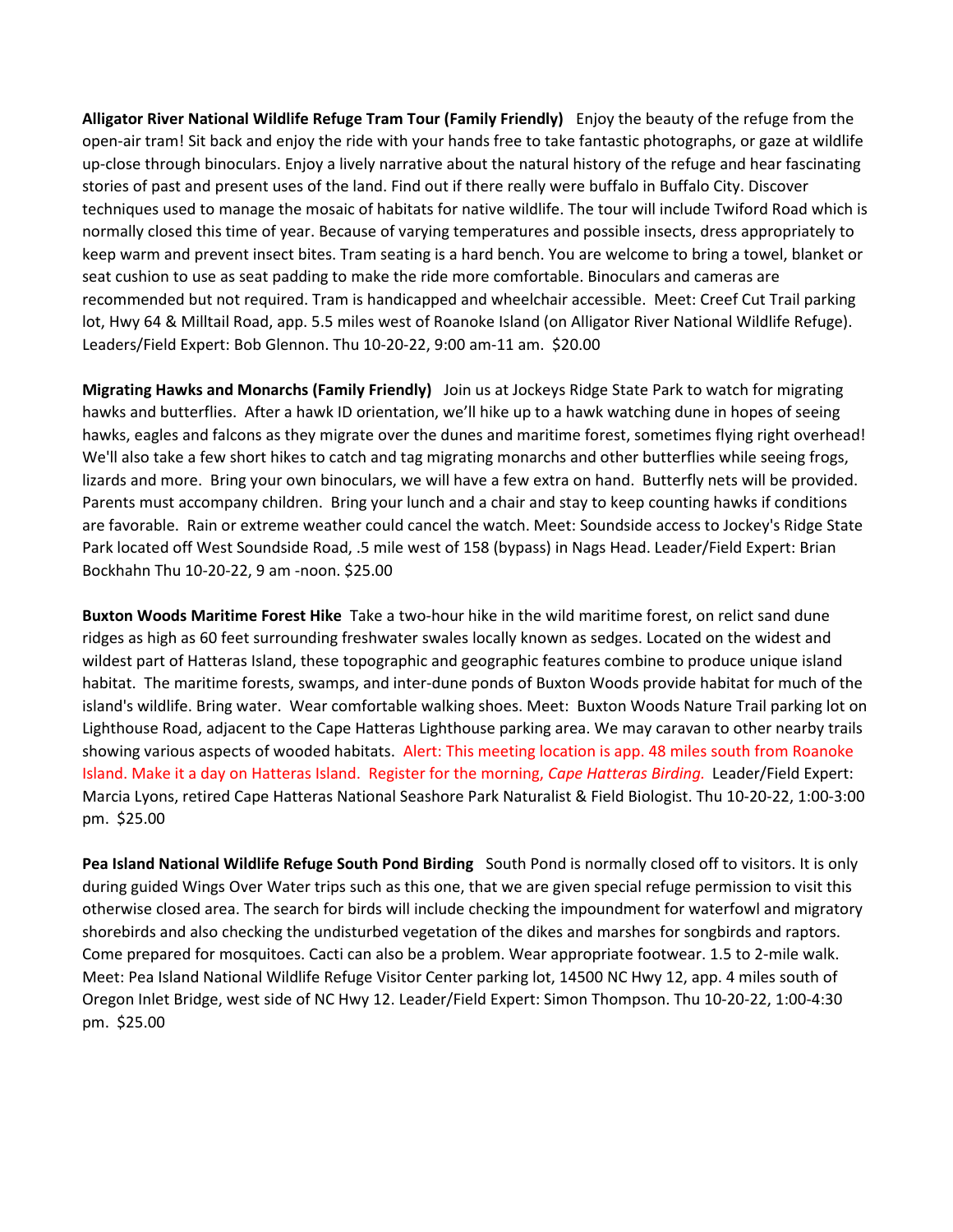**Alligator River National Wildlife Refuge Tram Tour (Family Friendly)** Enjoy the beauty of the refuge from the open-air tram! Sit back and enjoy the ride with your hands free to take fantastic photographs, or gaze at wildlife up-close through binoculars. Enjoy a lively narrative about the natural history of the refuge and hear fascinating stories of past and present uses of the land. Find out if there really were buffalo in Buffalo City. Discover techniques used to manage the mosaic of habitats for native wildlife. The tour will include Twiford Road which is normally closed this time of year. Because of varying temperatures and possible insects, dress appropriately to keep warm and prevent insect bites. Tram seating is a hard bench. You are welcome to bring a towel, blanket or seat cushion to use as seat padding to make the ride more comfortable. Binoculars and cameras are recommended but not required. Tram is handicapped and wheelchair accessible. Meet: Creef Cut Trail parking lot, Hwy 64 & Milltail Road, app. 5.5 miles west of Roanoke Island (on Alligator River National Wildlife Refuge). Leaders/Field Expert: Bob Glennon. Thu 10-20-22, 9:00 am-11 am. \$20.00

**Migrating Hawks and Monarchs (Family Friendly)** Join us at Jockeys Ridge State Park to watch for migrating hawks and butterflies. After a hawk ID orientation, we'll hike up to a hawk watching dune in hopes of seeing hawks, eagles and falcons as they migrate over the dunes and maritime forest, sometimes flying right overhead! We'll also take a few short hikes to catch and tag migrating monarchs and other butterflies while seeing frogs, lizards and more. Bring your own binoculars, we will have a few extra on hand. Butterfly nets will be provided. Parents must accompany children. Bring your lunch and a chair and stay to keep counting hawks if conditions are favorable. Rain or extreme weather could cancel the watch. Meet: Soundside access to Jockey's Ridge State Park located off West Soundside Road, .5 mile west of 158 (bypass) in Nags Head. Leader/Field Expert: Brian Bockhahn Thu 10-20-22, 9 am -noon. \$25.00

**Buxton Woods Maritime Forest Hike** Take a two-hour hike in the wild maritime forest, on relict sand dune ridges as high as 60 feet surrounding freshwater swales locally known as sedges. Located on the widest and wildest part of Hatteras Island, these topographic and geographic features combine to produce unique island habitat. The maritime forests, swamps, and inter-dune ponds of Buxton Woods provide habitat for much of the island's wildlife. Bring water. Wear comfortable walking shoes. Meet: Buxton Woods Nature Trail parking lot on Lighthouse Road, adjacent to the Cape Hatteras Lighthouse parking area. We may caravan to other nearby trails showing various aspects of wooded habitats. Alert: This meeting location is app. 48 miles south from Roanoke Island. Make it a day on Hatteras Island. Register for the morning, *Cape Hatteras Birding.* Leader/Field Expert: Marcia Lyons, retired Cape Hatteras National Seashore Park Naturalist & Field Biologist. Thu 10-20-22, 1:00-3:00 pm. \$25.00

**Pea Island National Wildlife Refuge South Pond Birding** South Pond is normally closed off to visitors. It is only during guided Wings Over Water trips such as this one, that we are given special refuge permission to visit this otherwise closed area. The search for birds will include checking the impoundment for waterfowl and migratory shorebirds and also checking the undisturbed vegetation of the dikes and marshes for songbirds and raptors. Come prepared for mosquitoes. Cacti can also be a problem. Wear appropriate footwear. 1.5 to 2-mile walk. Meet: Pea Island National Wildlife Refuge Visitor Center parking lot, 14500 NC Hwy 12, app. 4 miles south of Oregon Inlet Bridge, west side of NC Hwy 12. Leader/Field Expert: Simon Thompson. Thu 10-20-22, 1:00-4:30 pm. \$25.00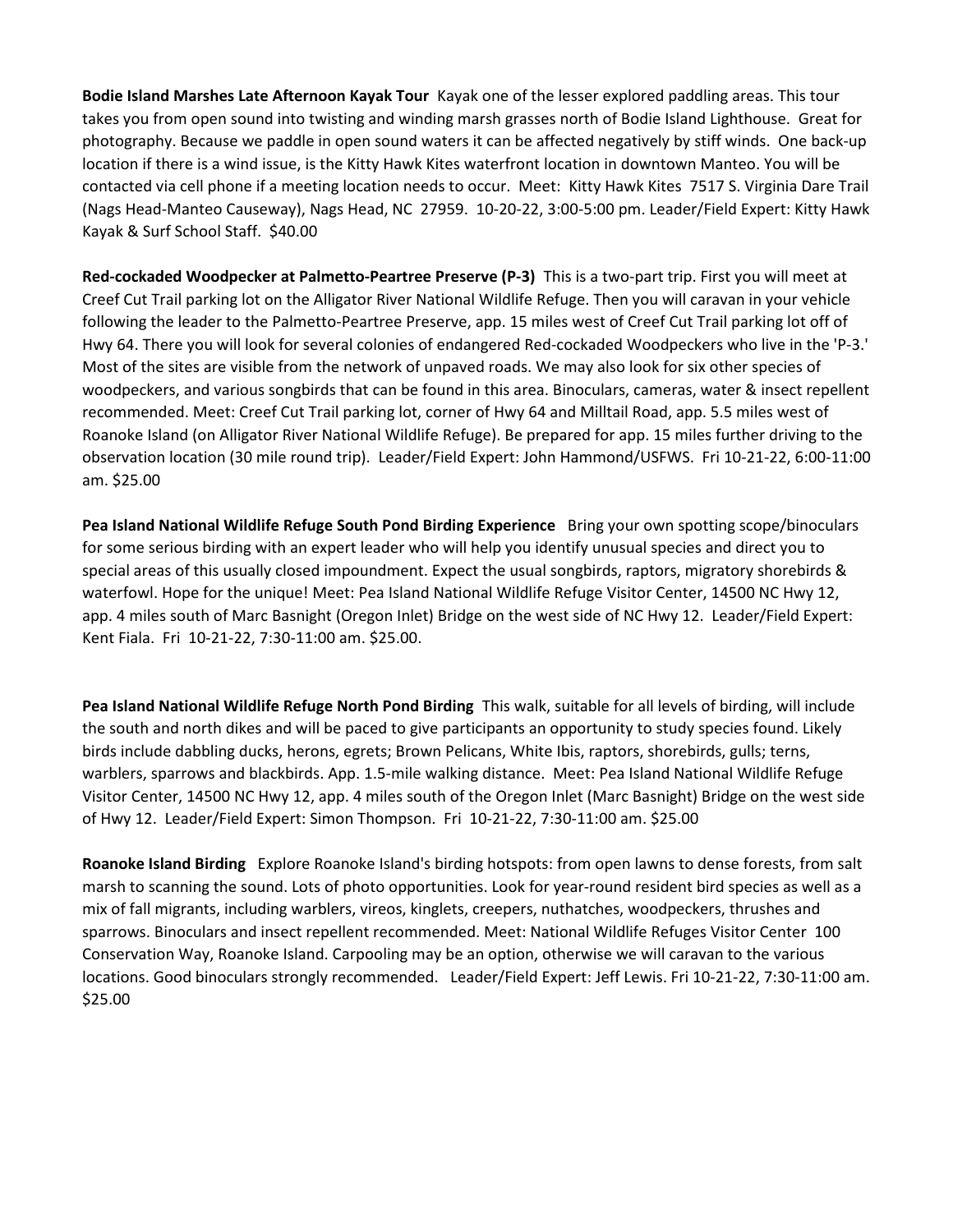**Bodie Island Marshes Late Afternoon Kayak Tour** Kayak one of the lesser explored paddling areas. This tour takes you from open sound into twisting and winding marsh grasses north of Bodie Island Lighthouse. Great for photography. Because we paddle in open sound waters it can be affected negatively by stiff winds. One back-up location if there is a wind issue, is the Kitty Hawk Kites waterfront location in downtown Manteo. You will be contacted via cell phone if a meeting location needs to occur. Meet: Kitty Hawk Kites 7517 S. Virginia Dare Trail (Nags Head-Manteo Causeway), Nags Head, NC 27959. 10-20-22, 3:00-5:00 pm. Leader/Field Expert: Kitty Hawk Kayak & Surf School Staff. \$40.00

**Red-cockaded Woodpecker at Palmetto-Peartree Preserve (P-3)** This is a two-part trip. First you will meet at Creef Cut Trail parking lot on the Alligator River National Wildlife Refuge. Then you will caravan in your vehicle following the leader to the Palmetto-Peartree Preserve, app. 15 miles west of Creef Cut Trail parking lot off of Hwy 64. There you will look for several colonies of endangered Red-cockaded Woodpeckers who live in the 'P-3.' Most of the sites are visible from the network of unpaved roads. We may also look for six other species of woodpeckers, and various songbirds that can be found in this area. Binoculars, cameras, water & insect repellent recommended. Meet: Creef Cut Trail parking lot, corner of Hwy 64 and Milltail Road, app. 5.5 miles west of Roanoke Island (on Alligator River National Wildlife Refuge). Be prepared for app. 15 miles further driving to the observation location (30 mile round trip). Leader/Field Expert: John Hammond/USFWS. Fri 10-21-22, 6:00-11:00 am. \$25.00

**Pea Island National Wildlife Refuge South Pond Birding Experience** Bring your own spotting scope/binoculars for some serious birding with an expert leader who will help you identify unusual species and direct you to special areas of this usually closed impoundment. Expect the usual songbirds, raptors, migratory shorebirds & waterfowl. Hope for the unique! Meet: Pea Island National Wildlife Refuge Visitor Center, 14500 NC Hwy 12, app. 4 miles south of Marc Basnight (Oregon Inlet) Bridge on the west side of NC Hwy 12. Leader/Field Expert: Kent Fiala. Fri 10-21-22, 7:30-11:00 am. \$25.00.

**Pea Island National Wildlife Refuge North Pond Birding** This walk, suitable for all levels of birding, will include the south and north dikes and will be paced to give participants an opportunity to study species found. Likely birds include dabbling ducks, herons, egrets; Brown Pelicans, White Ibis, raptors, shorebirds, gulls; terns, warblers, sparrows and blackbirds. App. 1.5-mile walking distance. Meet: Pea Island National Wildlife Refuge Visitor Center, 14500 NC Hwy 12, app. 4 miles south of the Oregon Inlet (Marc Basnight) Bridge on the west side of Hwy 12. Leader/Field Expert: Simon Thompson. Fri 10-21-22, 7:30-11:00 am. \$25.00

**Roanoke Island Birding** Explore Roanoke Island's birding hotspots: from open lawns to dense forests, from salt marsh to scanning the sound. Lots of photo opportunities. Look for year-round resident bird species as well as a mix of fall migrants, including warblers, vireos, kinglets, creepers, nuthatches, woodpeckers, thrushes and sparrows. Binoculars and insect repellent recommended. Meet: National Wildlife Refuges Visitor Center 100 Conservation Way, Roanoke Island. Carpooling may be an option, otherwise we will caravan to the various locations. Good binoculars strongly recommended. Leader/Field Expert: Jeff Lewis. Fri 10-21-22, 7:30-11:00 am. \$25.00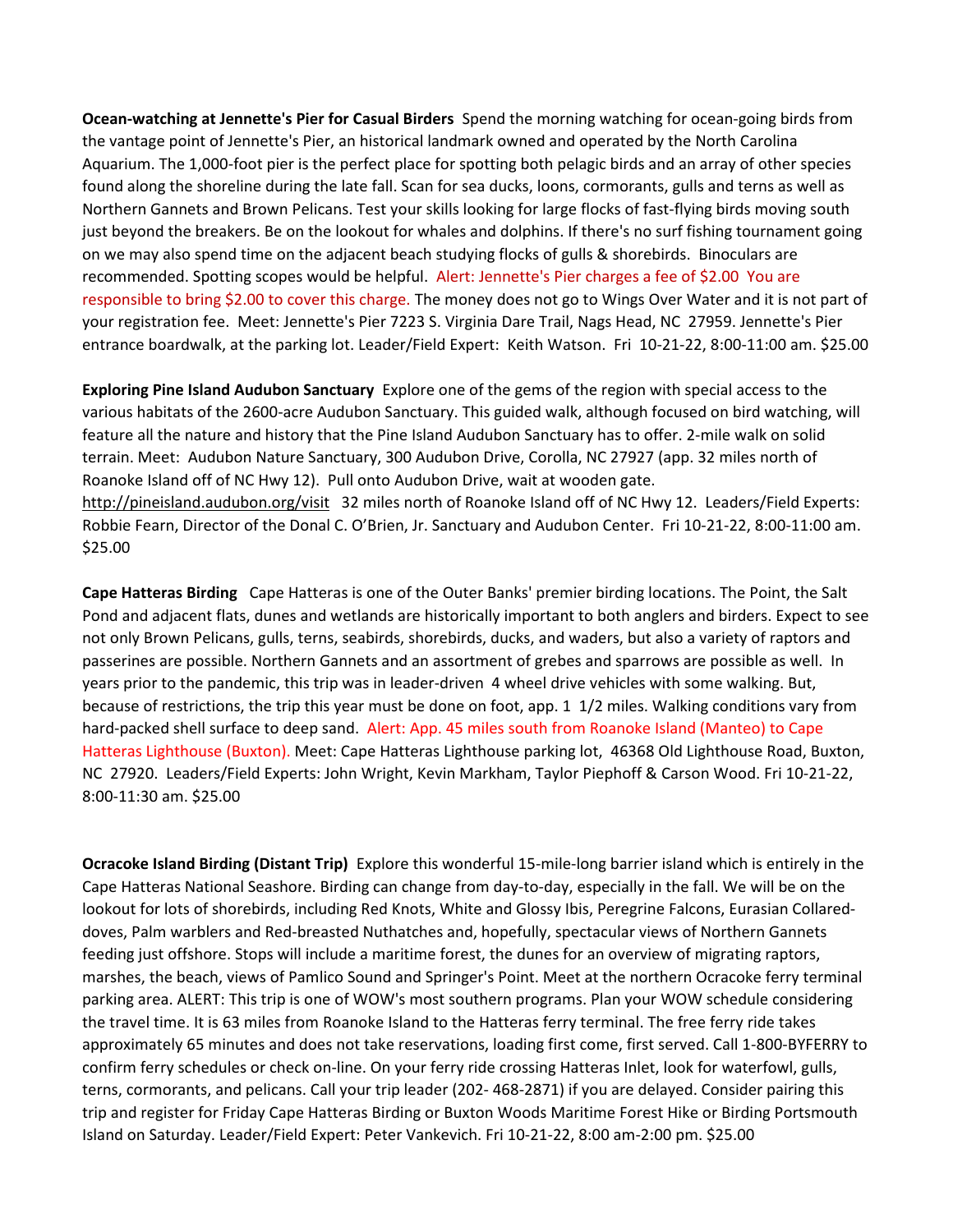**Ocean-watching at Jennette's Pier for Casual Birders** Spend the morning watching for ocean-going birds from the vantage point of Jennette's Pier, an historical landmark owned and operated by the North Carolina Aquarium. The 1,000-foot pier is the perfect place for spotting both pelagic birds and an array of other species found along the shoreline during the late fall. Scan for sea ducks, loons, cormorants, gulls and terns as well as Northern Gannets and Brown Pelicans. Test your skills looking for large flocks of fast-flying birds moving south just beyond the breakers. Be on the lookout for whales and dolphins. If there's no surf fishing tournament going on we may also spend time on the adjacent beach studying flocks of gulls & shorebirds. Binoculars are recommended. Spotting scopes would be helpful. Alert: Jennette's Pier charges a fee of \$2.00 You are responsible to bring \$2.00 to cover this charge. The money does not go to Wings Over Water and it is not part of your registration fee. Meet: Jennette's Pier 7223 S. Virginia Dare Trail, Nags Head, NC 27959. Jennette's Pier entrance boardwalk, at the parking lot. Leader/Field Expert: Keith Watson. Fri 10-21-22, 8:00-11:00 am. \$25.00

**Exploring Pine Island Audubon Sanctuary** Explore one of the gems of the region with special access to the various habitats of the 2600-acre Audubon Sanctuary. This guided walk, although focused on bird watching, will feature all the nature and history that the Pine Island Audubon Sanctuary has to offer. 2-mile walk on solid terrain. Meet: Audubon Nature Sanctuary, 300 Audubon Drive, Corolla, NC 27927 (app. 32 miles north of Roanoke Island off of NC Hwy 12). Pull onto Audubon Drive, wait at wooden gate. http://pineisland.audubon.org/visit 32 miles north of Roanoke Island off of NC Hwy 12. Leaders/Field Experts: Robbie Fearn, Director of the Donal C. O'Brien, Jr. Sanctuary and Audubon Center. Fri 10-21-22, 8:00-11:00 am. \$25.00

**Cape Hatteras Birding** Cape Hatteras is one of the Outer Banks' premier birding locations. The Point, the Salt Pond and adjacent flats, dunes and wetlands are historically important to both anglers and birders. Expect to see not only Brown Pelicans, gulls, terns, seabirds, shorebirds, ducks, and waders, but also a variety of raptors and passerines are possible. Northern Gannets and an assortment of grebes and sparrows are possible as well. In years prior to the pandemic, this trip was in leader-driven 4 wheel drive vehicles with some walking. But, because of restrictions, the trip this year must be done on foot, app. 1 1/2 miles. Walking conditions vary from hard-packed shell surface to deep sand. Alert: App. 45 miles south from Roanoke Island (Manteo) to Cape Hatteras Lighthouse (Buxton). Meet: Cape Hatteras Lighthouse parking lot, 46368 Old Lighthouse Road, Buxton, NC 27920. Leaders/Field Experts: John Wright, Kevin Markham, Taylor Piephoff & Carson Wood. Fri 10-21-22, 8:00-11:30 am. \$25.00

**Ocracoke Island Birding (Distant Trip)** Explore this wonderful 15-mile-long barrier island which is entirely in the Cape Hatteras National Seashore. Birding can change from day-to-day, especially in the fall. We will be on the lookout for lots of shorebirds, including Red Knots, White and Glossy Ibis, Peregrine Falcons, Eurasian Collareddoves, Palm warblers and Red-breasted Nuthatches and, hopefully, spectacular views of Northern Gannets feeding just offshore. Stops will include a maritime forest, the dunes for an overview of migrating raptors, marshes, the beach, views of Pamlico Sound and Springer's Point. Meet at the northern Ocracoke ferry terminal parking area. ALERT: This trip is one of WOW's most southern programs. Plan your WOW schedule considering the travel time. It is 63 miles from Roanoke Island to the Hatteras ferry terminal. The free ferry ride takes approximately 65 minutes and does not take reservations, loading first come, first served. Call 1-800-BYFERRY to confirm ferry schedules or check on-line. On your ferry ride crossing Hatteras Inlet, look for waterfowl, gulls, terns, cormorants, and pelicans. Call your trip leader (202- 468-2871) if you are delayed. Consider pairing this trip and register for Friday Cape Hatteras Birding or Buxton Woods Maritime Forest Hike or Birding Portsmouth Island on Saturday. Leader/Field Expert: Peter Vankevich. Fri 10-21-22, 8:00 am-2:00 pm. \$25.00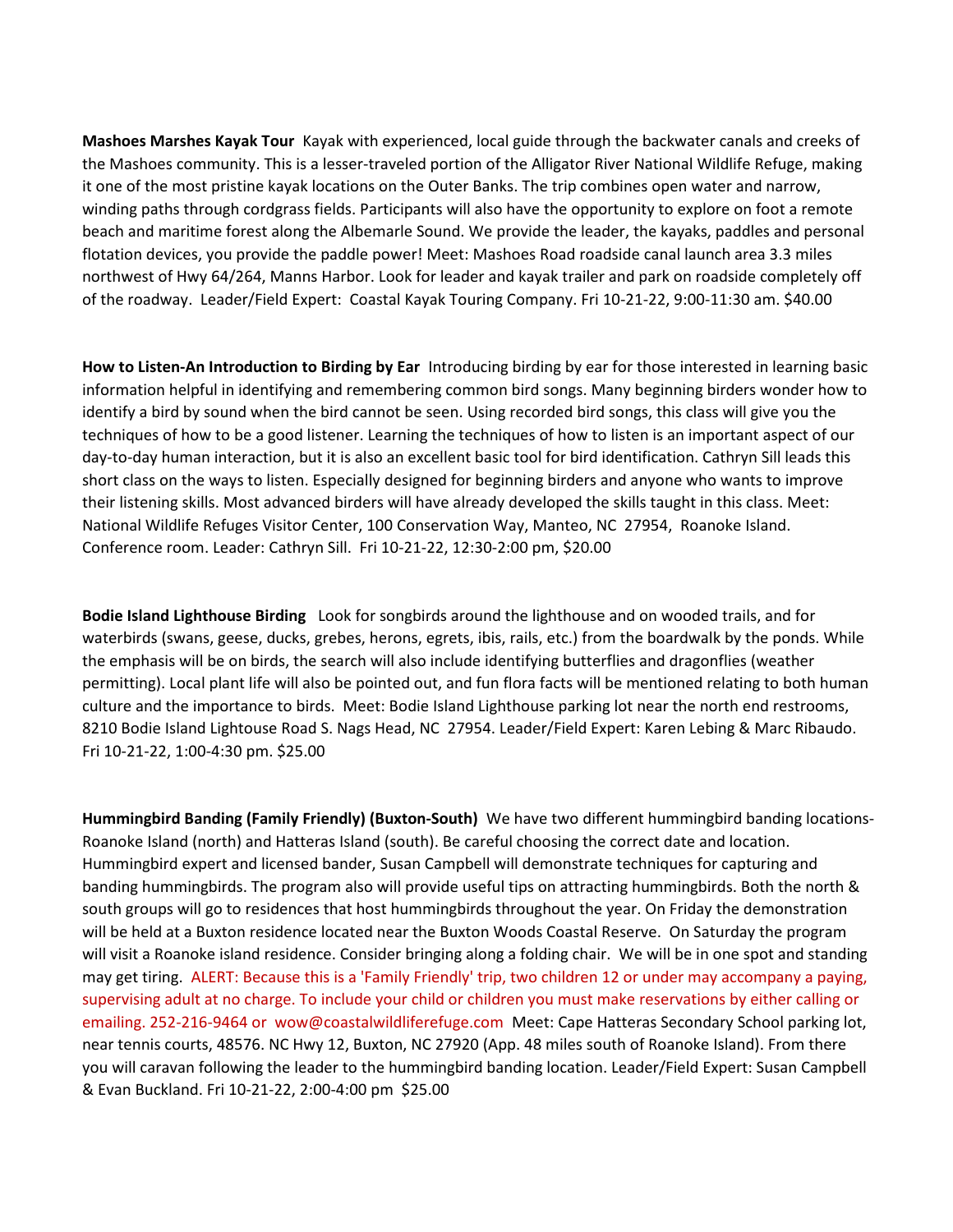**Mashoes Marshes Kayak Tour** Kayak with experienced, local guide through the backwater canals and creeks of the Mashoes community. This is a lesser-traveled portion of the Alligator River National Wildlife Refuge, making it one of the most pristine kayak locations on the Outer Banks. The trip combines open water and narrow, winding paths through cordgrass fields. Participants will also have the opportunity to explore on foot a remote beach and maritime forest along the Albemarle Sound. We provide the leader, the kayaks, paddles and personal flotation devices, you provide the paddle power! Meet: Mashoes Road roadside canal launch area 3.3 miles northwest of Hwy 64/264, Manns Harbor. Look for leader and kayak trailer and park on roadside completely off of the roadway. Leader/Field Expert: Coastal Kayak Touring Company. Fri 10-21-22, 9:00-11:30 am. \$40.00

**How to Listen-An Introduction to Birding by Ear** Introducing birding by ear for those interested in learning basic information helpful in identifying and remembering common bird songs. Many beginning birders wonder how to identify a bird by sound when the bird cannot be seen. Using recorded bird songs, this class will give you the techniques of how to be a good listener. Learning the techniques of how to listen is an important aspect of our day-to-day human interaction, but it is also an excellent basic tool for bird identification. Cathryn Sill leads this short class on the ways to listen. Especially designed for beginning birders and anyone who wants to improve their listening skills. Most advanced birders will have already developed the skills taught in this class. Meet: National Wildlife Refuges Visitor Center, 100 Conservation Way, Manteo, NC 27954, Roanoke Island. Conference room. Leader: Cathryn Sill. Fri 10-21-22, 12:30-2:00 pm, \$20.00

**Bodie Island Lighthouse Birding** Look for songbirds around the lighthouse and on wooded trails, and for waterbirds (swans, geese, ducks, grebes, herons, egrets, ibis, rails, etc.) from the boardwalk by the ponds. While the emphasis will be on birds, the search will also include identifying butterflies and dragonflies (weather permitting). Local plant life will also be pointed out, and fun flora facts will be mentioned relating to both human culture and the importance to birds. Meet: Bodie Island Lighthouse parking lot near the north end restrooms, 8210 Bodie Island Lightouse Road S. Nags Head, NC 27954. Leader/Field Expert: Karen Lebing & Marc Ribaudo. Fri 10-21-22, 1:00-4:30 pm. \$25.00

**Hummingbird Banding (Family Friendly) (Buxton-South)** We have two different hummingbird banding locations-Roanoke Island (north) and Hatteras Island (south). Be careful choosing the correct date and location. Hummingbird expert and licensed bander, Susan Campbell will demonstrate techniques for capturing and banding hummingbirds. The program also will provide useful tips on attracting hummingbirds. Both the north & south groups will go to residences that host hummingbirds throughout the year. On Friday the demonstration will be held at a Buxton residence located near the Buxton Woods Coastal Reserve. On Saturday the program will visit a Roanoke island residence. Consider bringing along a folding chair. We will be in one spot and standing may get tiring. ALERT: Because this is a 'Family Friendly' trip, two children 12 or under may accompany a paying, supervising adult at no charge. To include your child or children you must make reservations by either calling or emailing. 252-216-9464 or wow@coastalwildliferefuge.com Meet: Cape Hatteras Secondary School parking lot, near tennis courts, 48576. NC Hwy 12, Buxton, NC 27920 (App. 48 miles south of Roanoke Island). From there you will caravan following the leader to the hummingbird banding location. Leader/Field Expert: Susan Campbell & Evan Buckland. Fri 10-21-22, 2:00-4:00 pm \$25.00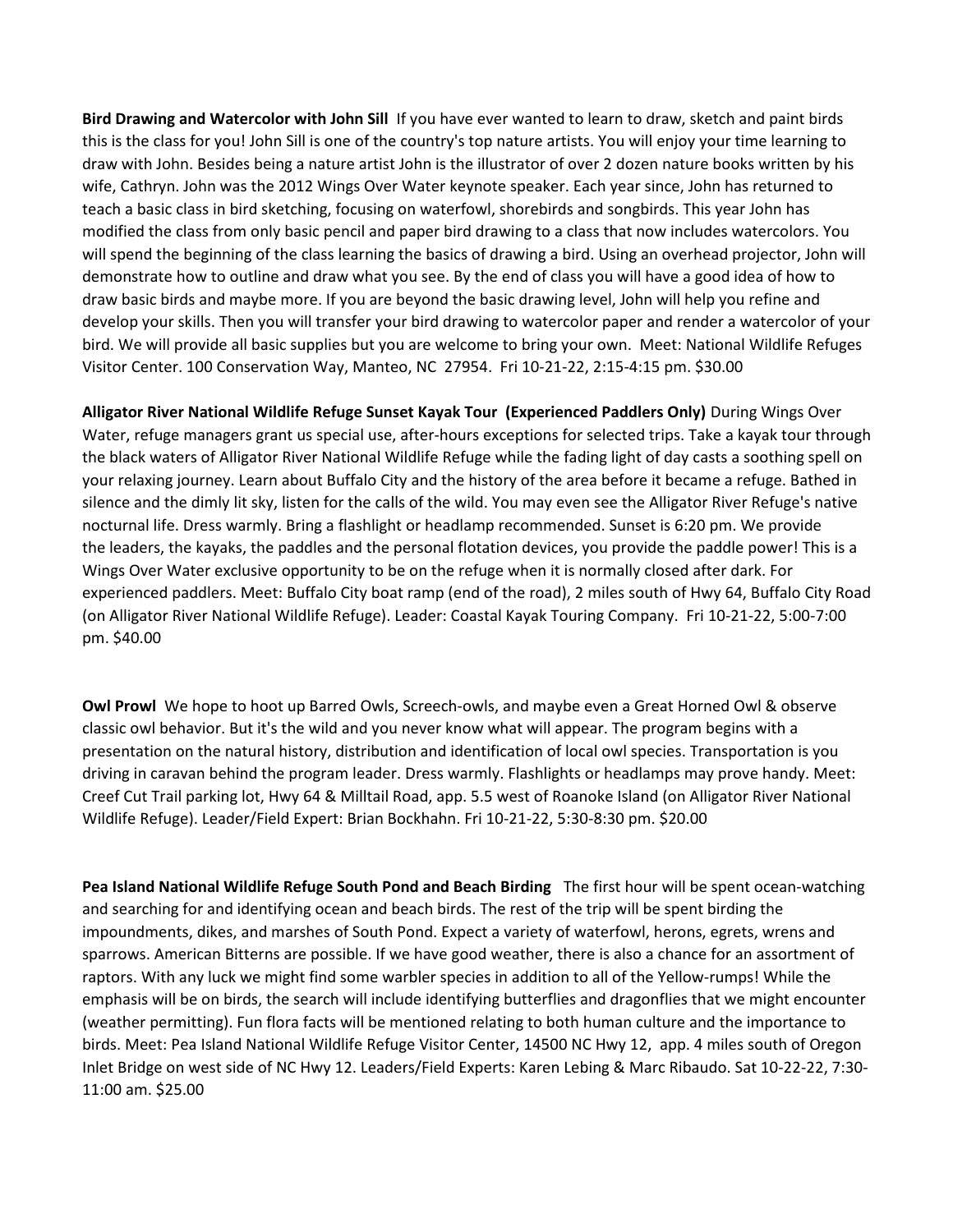**Bird Drawing and Watercolor with John Sill** If you have ever wanted to learn to draw, sketch and paint birds this is the class for you! John Sill is one of the country's top nature artists. You will enjoy your time learning to draw with John. Besides being a nature artist John is the illustrator of over 2 dozen nature books written by his wife, Cathryn. John was the 2012 Wings Over Water keynote speaker. Each year since, John has returned to teach a basic class in bird sketching, focusing on waterfowl, shorebirds and songbirds. This year John has modified the class from only basic pencil and paper bird drawing to a class that now includes watercolors. You will spend the beginning of the class learning the basics of drawing a bird. Using an overhead projector, John will demonstrate how to outline and draw what you see. By the end of class you will have a good idea of how to draw basic birds and maybe more. If you are beyond the basic drawing level, John will help you refine and develop your skills. Then you will transfer your bird drawing to watercolor paper and render a watercolor of your bird. We will provide all basic supplies but you are welcome to bring your own. Meet: National Wildlife Refuges Visitor Center. 100 Conservation Way, Manteo, NC 27954. Fri 10-21-22, 2:15-4:15 pm. \$30.00

**Alligator River National Wildlife Refuge Sunset Kayak Tour (Experienced Paddlers Only)** During Wings Over Water, refuge managers grant us special use, after-hours exceptions for selected trips. Take a kayak tour through the black waters of Alligator River National Wildlife Refuge while the fading light of day casts a soothing spell on your relaxing journey. Learn about Buffalo City and the history of the area before it became a refuge. Bathed in silence and the dimly lit sky, listen for the calls of the wild. You may even see the Alligator River Refuge's native nocturnal life. Dress warmly. Bring a flashlight or headlamp recommended. Sunset is 6:20 pm. We provide the leaders, the kayaks, the paddles and the personal flotation devices, you provide the paddle power! This is a Wings Over Water exclusive opportunity to be on the refuge when it is normally closed after dark. For experienced paddlers. Meet: Buffalo City boat ramp (end of the road), 2 miles south of Hwy 64, Buffalo City Road (on Alligator River National Wildlife Refuge). Leader: Coastal Kayak Touring Company. Fri 10-21-22, 5:00-7:00 pm. \$40.00

**Owl Prowl** We hope to hoot up Barred Owls, Screech-owls, and maybe even a Great Horned Owl & observe classic owl behavior. But it's the wild and you never know what will appear. The program begins with a presentation on the natural history, distribution and identification of local owl species. Transportation is you driving in caravan behind the program leader. Dress warmly. Flashlights or headlamps may prove handy. Meet: Creef Cut Trail parking lot, Hwy 64 & Milltail Road, app. 5.5 west of Roanoke Island (on Alligator River National Wildlife Refuge). Leader/Field Expert: Brian Bockhahn. Fri 10-21-22, 5:30-8:30 pm. \$20.00

**Pea Island National Wildlife Refuge South Pond and Beach Birding** The first hour will be spent ocean-watching and searching for and identifying ocean and beach birds. The rest of the trip will be spent birding the impoundments, dikes, and marshes of South Pond. Expect a variety of waterfowl, herons, egrets, wrens and sparrows. American Bitterns are possible. If we have good weather, there is also a chance for an assortment of raptors. With any luck we might find some warbler species in addition to all of the Yellow-rumps! While the emphasis will be on birds, the search will include identifying butterflies and dragonflies that we might encounter (weather permitting). Fun flora facts will be mentioned relating to both human culture and the importance to birds. Meet: Pea Island National Wildlife Refuge Visitor Center, 14500 NC Hwy 12, app. 4 miles south of Oregon Inlet Bridge on west side of NC Hwy 12. Leaders/Field Experts: Karen Lebing & Marc Ribaudo. Sat 10-22-22, 7:30- 11:00 am. \$25.00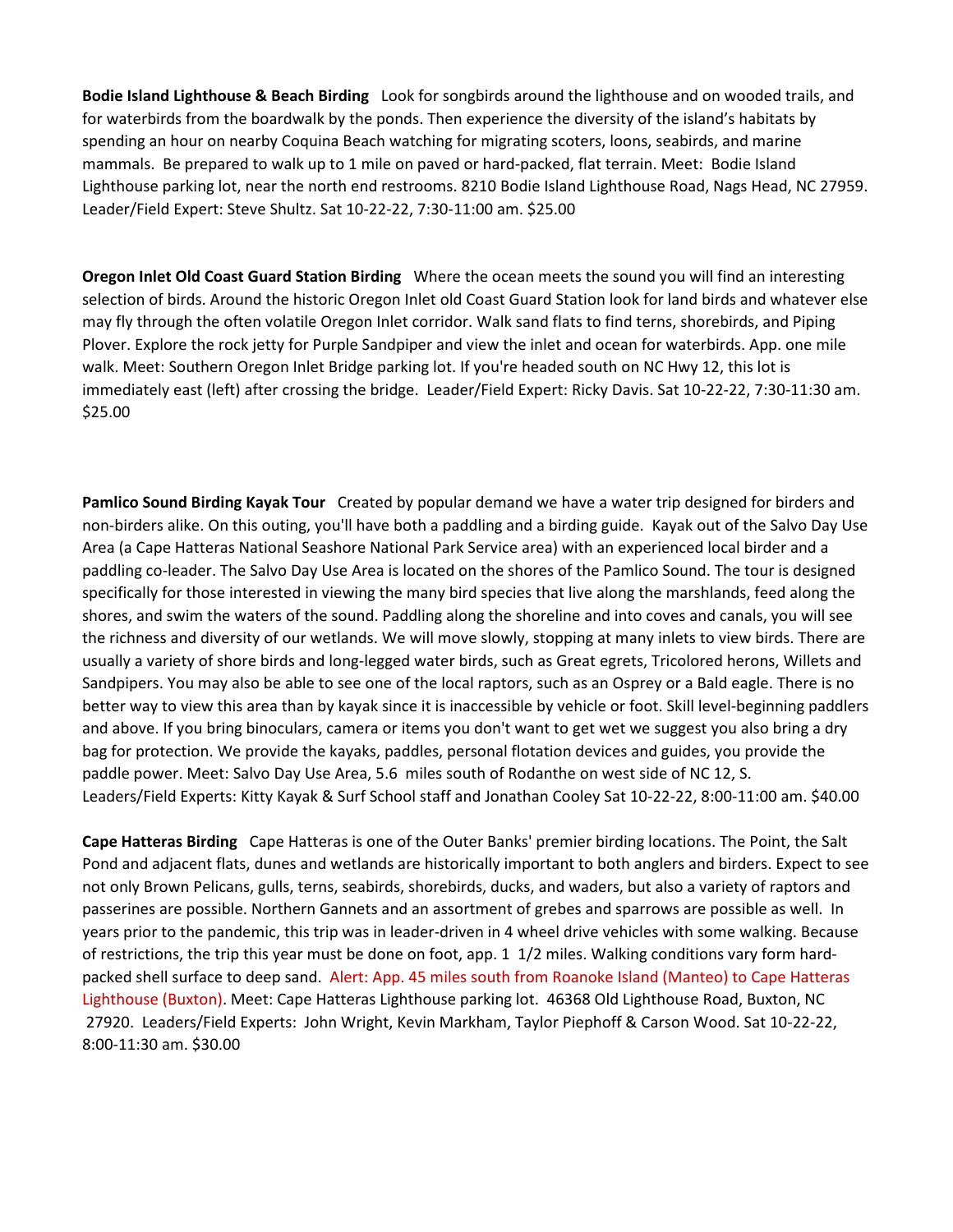**Bodie Island Lighthouse & Beach Birding** Look for songbirds around the lighthouse and on wooded trails, and for waterbirds from the boardwalk by the ponds. Then experience the diversity of the island's habitats by spending an hour on nearby Coquina Beach watching for migrating scoters, loons, seabirds, and marine mammals. Be prepared to walk up to 1 mile on paved or hard-packed, flat terrain. Meet: Bodie Island Lighthouse parking lot, near the north end restrooms. 8210 Bodie Island Lighthouse Road, Nags Head, NC 27959. Leader/Field Expert: Steve Shultz. Sat 10-22-22, 7:30-11:00 am. \$25.00

**Oregon Inlet Old Coast Guard Station Birding** Where the ocean meets the sound you will find an interesting selection of birds. Around the historic Oregon Inlet old Coast Guard Station look for land birds and whatever else may fly through the often volatile Oregon Inlet corridor. Walk sand flats to find terns, shorebirds, and Piping Plover. Explore the rock jetty for Purple Sandpiper and view the inlet and ocean for waterbirds. App. one mile walk. Meet: Southern Oregon Inlet Bridge parking lot. If you're headed south on NC Hwy 12, this lot is immediately east (left) after crossing the bridge. Leader/Field Expert: Ricky Davis. Sat 10-22-22, 7:30-11:30 am. \$25.00

**Pamlico Sound Birding Kayak Tour** Created by popular demand we have a water trip designed for birders and non-birders alike. On this outing, you'll have both a paddling and a birding guide. Kayak out of the Salvo Day Use Area (a Cape Hatteras National Seashore National Park Service area) with an experienced local birder and a paddling co-leader. The Salvo Day Use Area is located on the shores of the Pamlico Sound. The tour is designed specifically for those interested in viewing the many bird species that live along the marshlands, feed along the shores, and swim the waters of the sound. Paddling along the shoreline and into coves and canals, you will see the richness and diversity of our wetlands. We will move slowly, stopping at many inlets to view birds. There are usually a variety of shore birds and long-legged water birds, such as Great egrets, Tricolored herons, Willets and Sandpipers. You may also be able to see one of the local raptors, such as an Osprey or a Bald eagle. There is no better way to view this area than by kayak since it is inaccessible by vehicle or foot. Skill level-beginning paddlers and above. If you bring binoculars, camera or items you don't want to get wet we suggest you also bring a dry bag for protection. We provide the kayaks, paddles, personal flotation devices and guides, you provide the paddle power. Meet: Salvo Day Use Area, 5.6 miles south of Rodanthe on west side of NC 12, S. Leaders/Field Experts: Kitty Kayak & Surf School staff and Jonathan Cooley Sat 10-22-22, 8:00-11:00 am. \$40.00

**Cape Hatteras Birding** Cape Hatteras is one of the Outer Banks' premier birding locations. The Point, the Salt Pond and adjacent flats, dunes and wetlands are historically important to both anglers and birders. Expect to see not only Brown Pelicans, gulls, terns, seabirds, shorebirds, ducks, and waders, but also a variety of raptors and passerines are possible. Northern Gannets and an assortment of grebes and sparrows are possible as well. In years prior to the pandemic, this trip was in leader-driven in 4 wheel drive vehicles with some walking. Because of restrictions, the trip this year must be done on foot, app. 1 1/2 miles. Walking conditions vary form hardpacked shell surface to deep sand. Alert: App. 45 miles south from Roanoke Island (Manteo) to Cape Hatteras Lighthouse (Buxton). Meet: Cape Hatteras Lighthouse parking lot. 46368 Old Lighthouse Road, Buxton, NC 27920. Leaders/Field Experts: John Wright, Kevin Markham, Taylor Piephoff & Carson Wood. Sat 10-22-22, 8:00-11:30 am. \$30.00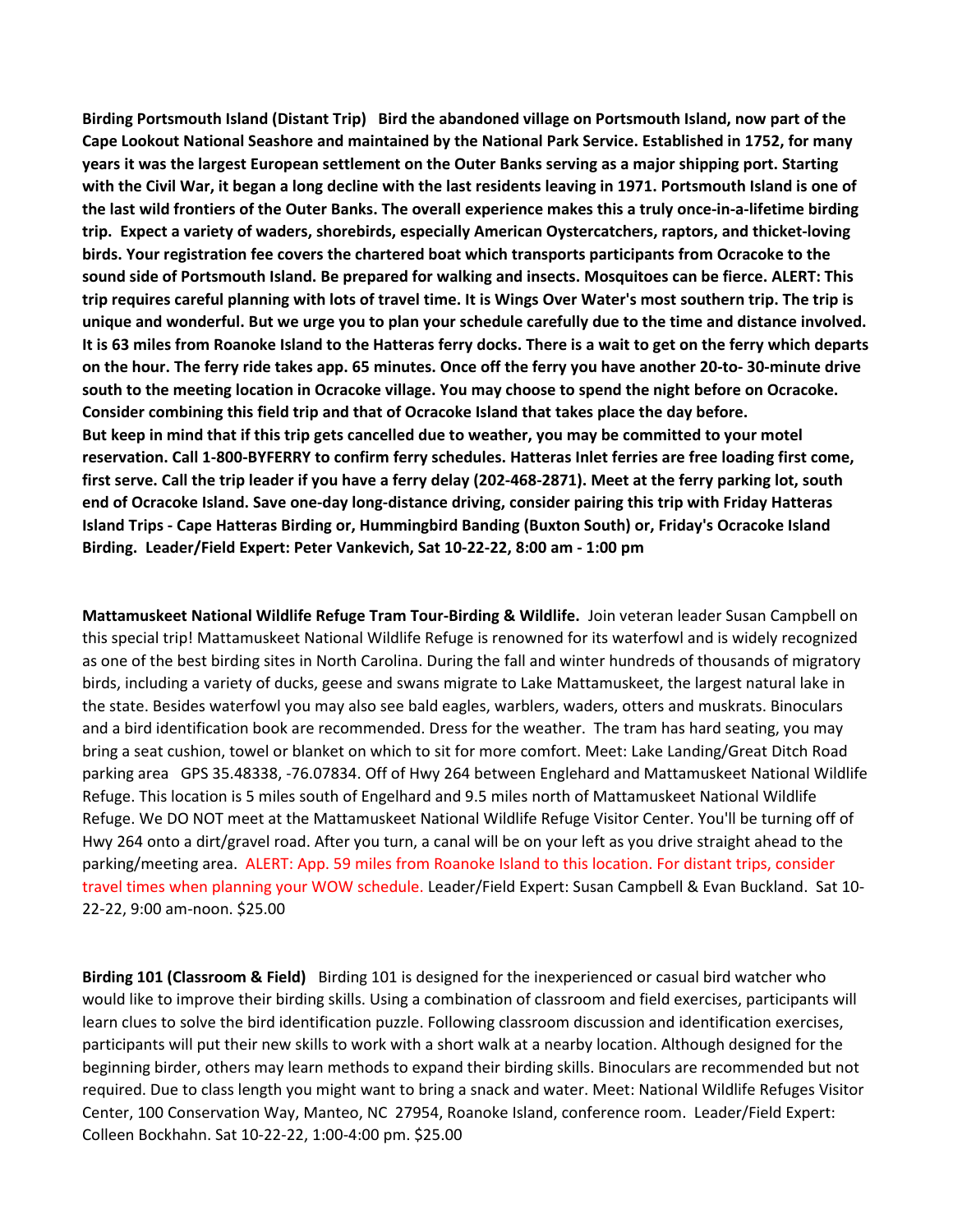**Birding Portsmouth Island (Distant Trip) Bird the abandoned village on Portsmouth Island, now part of the Cape Lookout National Seashore and maintained by the National Park Service. Established in 1752, for many years it was the largest European settlement on the Outer Banks serving as a major shipping port. Starting with the Civil War, it began a long decline with the last residents leaving in 1971. Portsmouth Island is one of the last wild frontiers of the Outer Banks. The overall experience makes this a truly once-in-a-lifetime birding trip. Expect a variety of waders, shorebirds, especially American Oystercatchers, raptors, and thicket-loving birds. Your registration fee covers the chartered boat which transports participants from Ocracoke to the sound side of Portsmouth Island. Be prepared for walking and insects. Mosquitoes can be fierce. ALERT: This trip requires careful planning with lots of travel time. It is Wings Over Water's most southern trip. The trip is unique and wonderful. But we urge you to plan your schedule carefully due to the time and distance involved. It is 63 miles from Roanoke Island to the Hatteras ferry docks. There is a wait to get on the ferry which departs on the hour. The ferry ride takes app. 65 minutes. Once off the ferry you have another 20-to- 30-minute drive south to the meeting location in Ocracoke village. You may choose to spend the night before on Ocracoke. Consider combining this field trip and that of Ocracoke Island that takes place the day before. But keep in mind that if this trip gets cancelled due to weather, you may be committed to your motel reservation. Call 1-800-BYFERRY to confirm ferry schedules. Hatteras Inlet ferries are free loading first come, first serve. Call the trip leader if you have a ferry delay (202-468-2871). Meet at the ferry parking lot, south end of Ocracoke Island. Save one-day long-distance driving, consider pairing this trip with Friday Hatteras Island Trips - Cape Hatteras Birding or, Hummingbird Banding (Buxton South) or, Friday's Ocracoke Island Birding. Leader/Field Expert: Peter Vankevich, Sat 10-22-22, 8:00 am - 1:00 pm** 

**Mattamuskeet National Wildlife Refuge Tram Tour-Birding & Wildlife.** Join veteran leader Susan Campbell on this special trip! Mattamuskeet National Wildlife Refuge is renowned for its waterfowl and is widely recognized as one of the best birding sites in North Carolina. During the fall and winter hundreds of thousands of migratory birds, including a variety of ducks, geese and swans migrate to Lake Mattamuskeet, the largest natural lake in the state. Besides waterfowl you may also see bald eagles, warblers, waders, otters and muskrats. Binoculars and a bird identification book are recommended. Dress for the weather. The tram has hard seating, you may bring a seat cushion, towel or blanket on which to sit for more comfort. Meet: Lake Landing/Great Ditch Road parking area GPS 35.48338, -76.07834. Off of Hwy 264 between Englehard and Mattamuskeet National Wildlife Refuge. This location is 5 miles south of Engelhard and 9.5 miles north of Mattamuskeet National Wildlife Refuge. We DO NOT meet at the Mattamuskeet National Wildlife Refuge Visitor Center. You'll be turning off of Hwy 264 onto a dirt/gravel road. After you turn, a canal will be on your left as you drive straight ahead to the parking/meeting area. ALERT: App. 59 miles from Roanoke Island to this location. For distant trips, consider travel times when planning your WOW schedule. Leader/Field Expert: Susan Campbell & Evan Buckland. Sat 10- 22-22, 9:00 am-noon. \$25.00

**Birding 101 (Classroom & Field)** Birding 101 is designed for the inexperienced or casual bird watcher who would like to improve their birding skills. Using a combination of classroom and field exercises, participants will learn clues to solve the bird identification puzzle. Following classroom discussion and identification exercises, participants will put their new skills to work with a short walk at a nearby location. Although designed for the beginning birder, others may learn methods to expand their birding skills. Binoculars are recommended but not required. Due to class length you might want to bring a snack and water. Meet: National Wildlife Refuges Visitor Center, 100 Conservation Way, Manteo, NC 27954, Roanoke Island, conference room. Leader/Field Expert: Colleen Bockhahn. Sat 10-22-22, 1:00-4:00 pm. \$25.00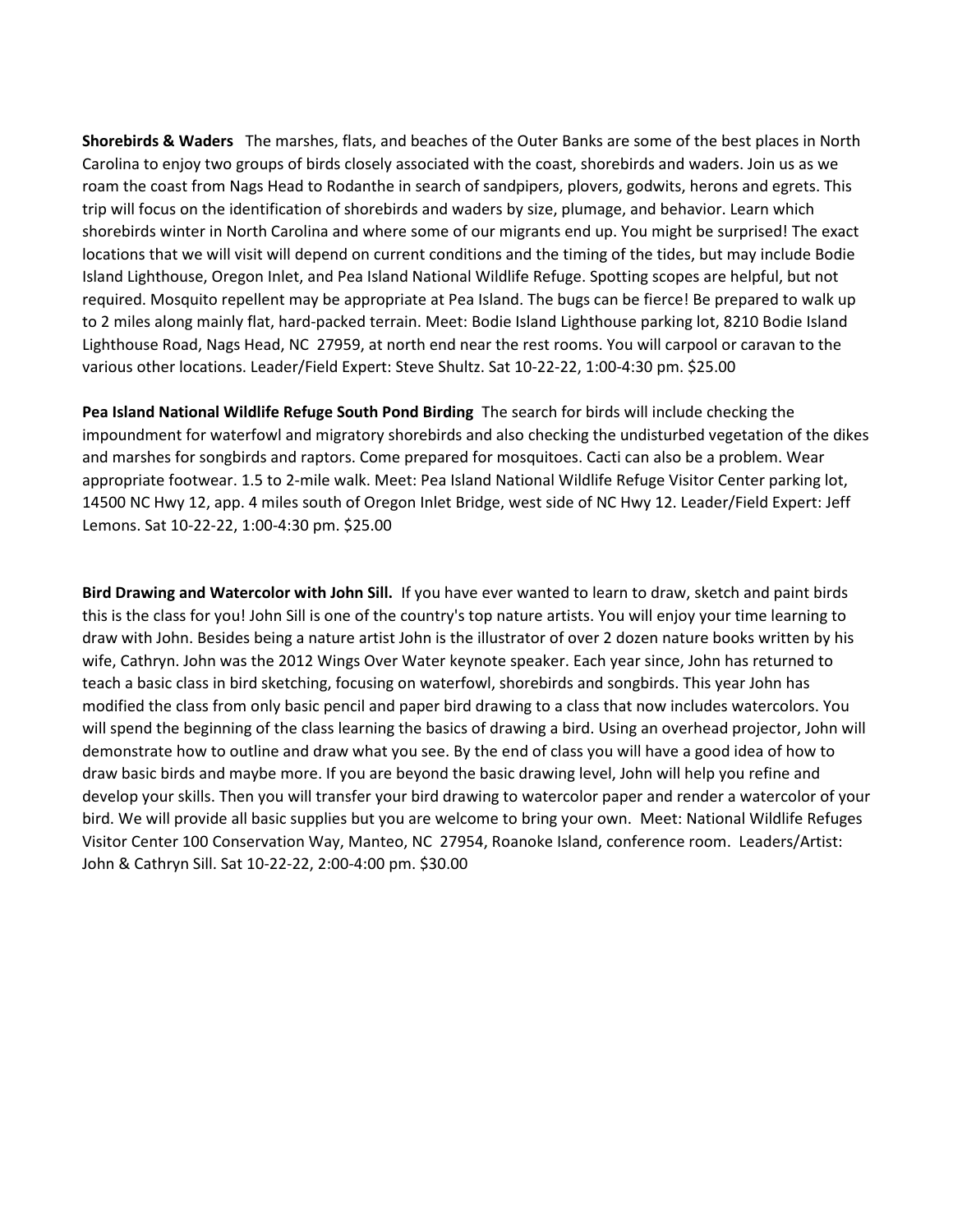**Shorebirds & Waders** The marshes, flats, and beaches of the Outer Banks are some of the best places in North Carolina to enjoy two groups of birds closely associated with the coast, shorebirds and waders. Join us as we roam the coast from Nags Head to Rodanthe in search of sandpipers, plovers, godwits, herons and egrets. This trip will focus on the identification of shorebirds and waders by size, plumage, and behavior. Learn which shorebirds winter in North Carolina and where some of our migrants end up. You might be surprised! The exact locations that we will visit will depend on current conditions and the timing of the tides, but may include Bodie Island Lighthouse, Oregon Inlet, and Pea Island National Wildlife Refuge. Spotting scopes are helpful, but not required. Mosquito repellent may be appropriate at Pea Island. The bugs can be fierce! Be prepared to walk up to 2 miles along mainly flat, hard-packed terrain. Meet: Bodie Island Lighthouse parking lot, 8210 Bodie Island Lighthouse Road, Nags Head, NC 27959, at north end near the rest rooms. You will carpool or caravan to the various other locations. Leader/Field Expert: Steve Shultz. Sat 10-22-22, 1:00-4:30 pm. \$25.00

**Pea Island National Wildlife Refuge South Pond Birding** The search for birds will include checking the impoundment for waterfowl and migratory shorebirds and also checking the undisturbed vegetation of the dikes and marshes for songbirds and raptors. Come prepared for mosquitoes. Cacti can also be a problem. Wear appropriate footwear. 1.5 to 2-mile walk. Meet: Pea Island National Wildlife Refuge Visitor Center parking lot, 14500 NC Hwy 12, app. 4 miles south of Oregon Inlet Bridge, west side of NC Hwy 12. Leader/Field Expert: Jeff Lemons. Sat 10-22-22, 1:00-4:30 pm. \$25.00

**Bird Drawing and Watercolor with John Sill.** If you have ever wanted to learn to draw, sketch and paint birds this is the class for you! John Sill is one of the country's top nature artists. You will enjoy your time learning to draw with John. Besides being a nature artist John is the illustrator of over 2 dozen nature books written by his wife, Cathryn. John was the 2012 Wings Over Water keynote speaker. Each year since, John has returned to teach a basic class in bird sketching, focusing on waterfowl, shorebirds and songbirds. This year John has modified the class from only basic pencil and paper bird drawing to a class that now includes watercolors. You will spend the beginning of the class learning the basics of drawing a bird. Using an overhead projector, John will demonstrate how to outline and draw what you see. By the end of class you will have a good idea of how to draw basic birds and maybe more. If you are beyond the basic drawing level, John will help you refine and develop your skills. Then you will transfer your bird drawing to watercolor paper and render a watercolor of your bird. We will provide all basic supplies but you are welcome to bring your own. Meet: National Wildlife Refuges Visitor Center 100 Conservation Way, Manteo, NC 27954, Roanoke Island, conference room. Leaders/Artist: John & Cathryn Sill. Sat 10-22-22, 2:00-4:00 pm. \$30.00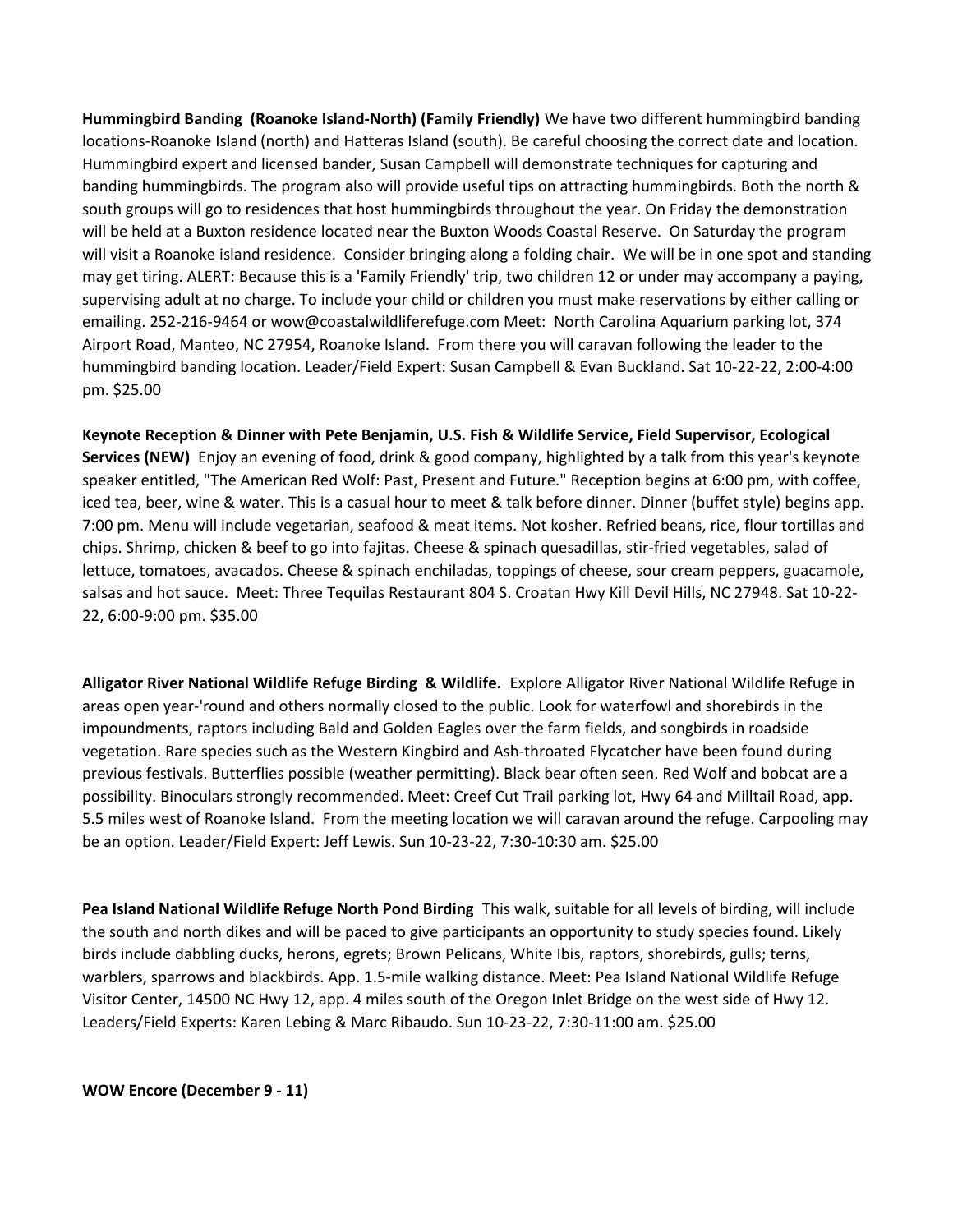**Hummingbird Banding (Roanoke Island-North) (Family Friendly)** We have two different hummingbird banding locations-Roanoke Island (north) and Hatteras Island (south). Be careful choosing the correct date and location. Hummingbird expert and licensed bander, Susan Campbell will demonstrate techniques for capturing and banding hummingbirds. The program also will provide useful tips on attracting hummingbirds. Both the north & south groups will go to residences that host hummingbirds throughout the year. On Friday the demonstration will be held at a Buxton residence located near the Buxton Woods Coastal Reserve. On Saturday the program will visit a Roanoke island residence. Consider bringing along a folding chair. We will be in one spot and standing may get tiring. ALERT: Because this is a 'Family Friendly' trip, two children 12 or under may accompany a paying, supervising adult at no charge. To include your child or children you must make reservations by either calling or emailing. 252-216-9464 or wow@coastalwildliferefuge.com Meet: North Carolina Aquarium parking lot, 374 Airport Road, Manteo, NC 27954, Roanoke Island. From there you will caravan following the leader to the hummingbird banding location. Leader/Field Expert: Susan Campbell & Evan Buckland. Sat 10-22-22, 2:00-4:00 pm. \$25.00

**Keynote Reception & Dinner with Pete Benjamin, U.S. Fish & Wildlife Service, Field Supervisor, Ecological Services (NEW)** Enjoy an evening of food, drink & good company, highlighted by a talk from this year's keynote speaker entitled, "The American Red Wolf: Past, Present and Future." Reception begins at 6:00 pm, with coffee, iced tea, beer, wine & water. This is a casual hour to meet & talk before dinner. Dinner (buffet style) begins app. 7:00 pm. Menu will include vegetarian, seafood & meat items. Not kosher. Refried beans, rice, flour tortillas and chips. Shrimp, chicken & beef to go into fajitas. Cheese & spinach quesadillas, stir-fried vegetables, salad of lettuce, tomatoes, avacados. Cheese & spinach enchiladas, toppings of cheese, sour cream peppers, guacamole, salsas and hot sauce. Meet: Three Tequilas Restaurant 804 S. Croatan Hwy Kill Devil Hills, NC 27948. Sat 10-22- 22, 6:00-9:00 pm. \$35.00

**Alligator River National Wildlife Refuge Birding & Wildlife.** Explore Alligator River National Wildlife Refuge in areas open year-'round and others normally closed to the public. Look for waterfowl and shorebirds in the impoundments, raptors including Bald and Golden Eagles over the farm fields, and songbirds in roadside vegetation. Rare species such as the Western Kingbird and Ash-throated Flycatcher have been found during previous festivals. Butterflies possible (weather permitting). Black bear often seen. Red Wolf and bobcat are a possibility. Binoculars strongly recommended. Meet: Creef Cut Trail parking lot, Hwy 64 and Milltail Road, app. 5.5 miles west of Roanoke Island. From the meeting location we will caravan around the refuge. Carpooling may be an option. Leader/Field Expert: Jeff Lewis. Sun 10-23-22, 7:30-10:30 am. \$25.00

**Pea Island National Wildlife Refuge North Pond Birding** This walk, suitable for all levels of birding, will include the south and north dikes and will be paced to give participants an opportunity to study species found. Likely birds include dabbling ducks, herons, egrets; Brown Pelicans, White Ibis, raptors, shorebirds, gulls; terns, warblers, sparrows and blackbirds. App. 1.5-mile walking distance. Meet: Pea Island National Wildlife Refuge Visitor Center, 14500 NC Hwy 12, app. 4 miles south of the Oregon Inlet Bridge on the west side of Hwy 12. Leaders/Field Experts: Karen Lebing & Marc Ribaudo. Sun 10-23-22, 7:30-11:00 am. \$25.00

**WOW Encore (December 9 - 11)**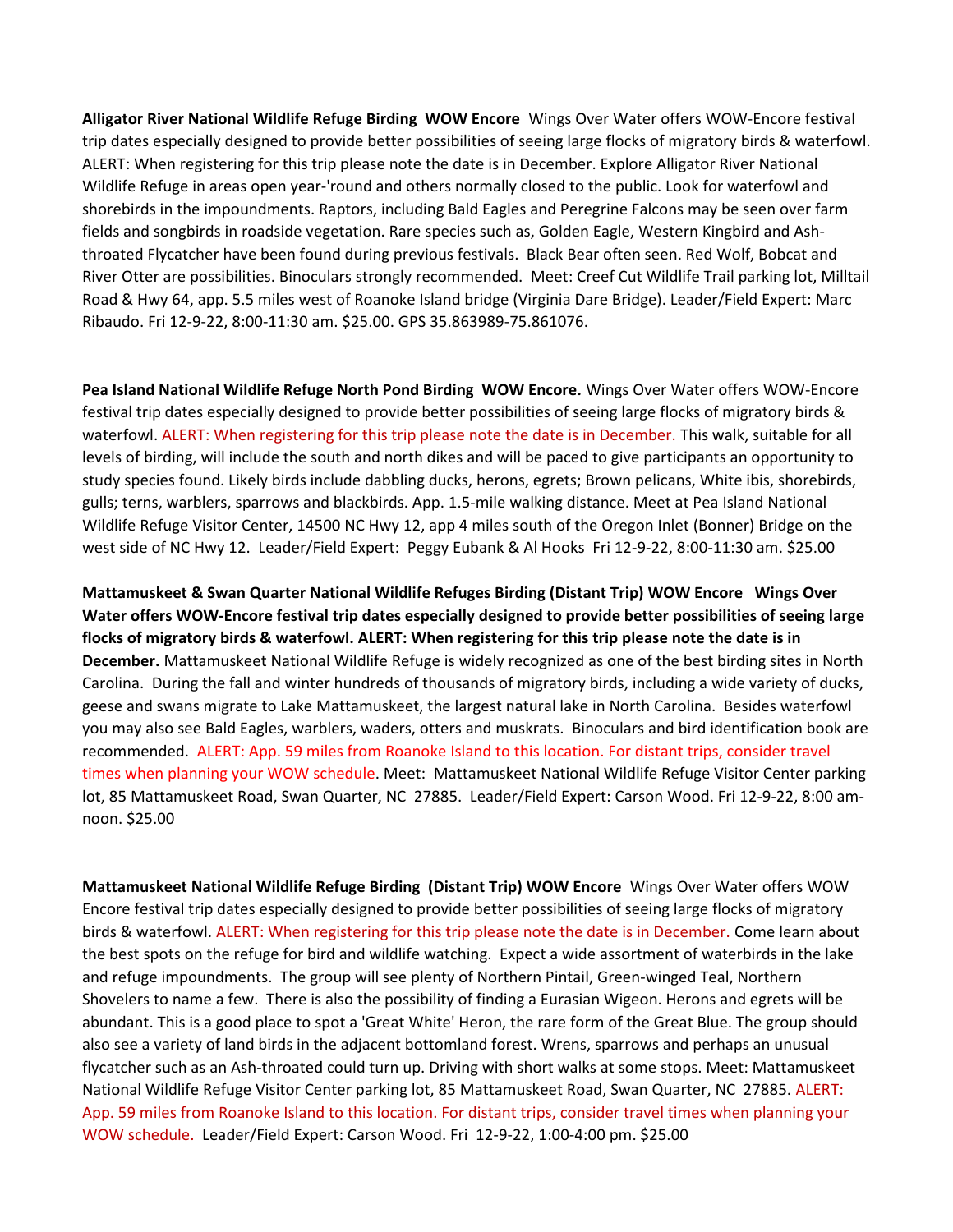**Alligator River National Wildlife Refuge Birding WOW Encore** Wings Over Water offers WOW-Encore festival trip dates especially designed to provide better possibilities of seeing large flocks of migratory birds & waterfowl. ALERT: When registering for this trip please note the date is in December. Explore Alligator River National Wildlife Refuge in areas open year-'round and others normally closed to the public. Look for waterfowl and shorebirds in the impoundments. Raptors, including Bald Eagles and Peregrine Falcons may be seen over farm fields and songbirds in roadside vegetation. Rare species such as, Golden Eagle, Western Kingbird and Ashthroated Flycatcher have been found during previous festivals. Black Bear often seen. Red Wolf, Bobcat and River Otter are possibilities. Binoculars strongly recommended. Meet: Creef Cut Wildlife Trail parking lot, Milltail Road & Hwy 64, app. 5.5 miles west of Roanoke Island bridge (Virginia Dare Bridge). Leader/Field Expert: Marc Ribaudo. Fri 12-9-22, 8:00-11:30 am. \$25.00. GPS 35.863989-75.861076.

**Pea Island National Wildlife Refuge North Pond Birding WOW Encore.** Wings Over Water offers WOW-Encore festival trip dates especially designed to provide better possibilities of seeing large flocks of migratory birds & waterfowl. ALERT: When registering for this trip please note the date is in December. This walk, suitable for all levels of birding, will include the south and north dikes and will be paced to give participants an opportunity to study species found. Likely birds include dabbling ducks, herons, egrets; Brown pelicans, White ibis, shorebirds, gulls; terns, warblers, sparrows and blackbirds. App. 1.5-mile walking distance. Meet at Pea Island National Wildlife Refuge Visitor Center, 14500 NC Hwy 12, app 4 miles south of the Oregon Inlet (Bonner) Bridge on the west side of NC Hwy 12. Leader/Field Expert: Peggy Eubank & Al Hooks Fri 12-9-22, 8:00-11:30 am. \$25.00

**Mattamuskeet & Swan Quarter National Wildlife Refuges Birding (Distant Trip) WOW Encore Wings Over Water offers WOW-Encore festival trip dates especially designed to provide better possibilities of seeing large flocks of migratory birds & waterfowl. ALERT: When registering for this trip please note the date is in December.** Mattamuskeet National Wildlife Refuge is widely recognized as one of the best birding sites in North Carolina. During the fall and winter hundreds of thousands of migratory birds, including a wide variety of ducks, geese and swans migrate to Lake Mattamuskeet, the largest natural lake in North Carolina. Besides waterfowl you may also see Bald Eagles, warblers, waders, otters and muskrats. Binoculars and bird identification book are recommended. ALERT: App. 59 miles from Roanoke Island to this location. For distant trips, consider travel times when planning your WOW schedule. Meet: Mattamuskeet National Wildlife Refuge Visitor Center parking lot, 85 Mattamuskeet Road, Swan Quarter, NC 27885. Leader/Field Expert: Carson Wood. Fri 12-9-22, 8:00 amnoon. \$25.00

**Mattamuskeet National Wildlife Refuge Birding (Distant Trip) WOW Encore** Wings Over Water offers WOW Encore festival trip dates especially designed to provide better possibilities of seeing large flocks of migratory birds & waterfowl. ALERT: When registering for this trip please note the date is in December. Come learn about the best spots on the refuge for bird and wildlife watching. Expect a wide assortment of waterbirds in the lake and refuge impoundments. The group will see plenty of Northern Pintail, Green-winged Teal, Northern Shovelers to name a few. There is also the possibility of finding a Eurasian Wigeon. Herons and egrets will be abundant. This is a good place to spot a 'Great White' Heron, the rare form of the Great Blue. The group should also see a variety of land birds in the adjacent bottomland forest. Wrens, sparrows and perhaps an unusual flycatcher such as an Ash-throated could turn up. Driving with short walks at some stops. Meet: Mattamuskeet National Wildlife Refuge Visitor Center parking lot, 85 Mattamuskeet Road, Swan Quarter, NC 27885. ALERT: App. 59 miles from Roanoke Island to this location. For distant trips, consider travel times when planning your WOW schedule. Leader/Field Expert: Carson Wood. Fri 12-9-22, 1:00-4:00 pm. \$25.00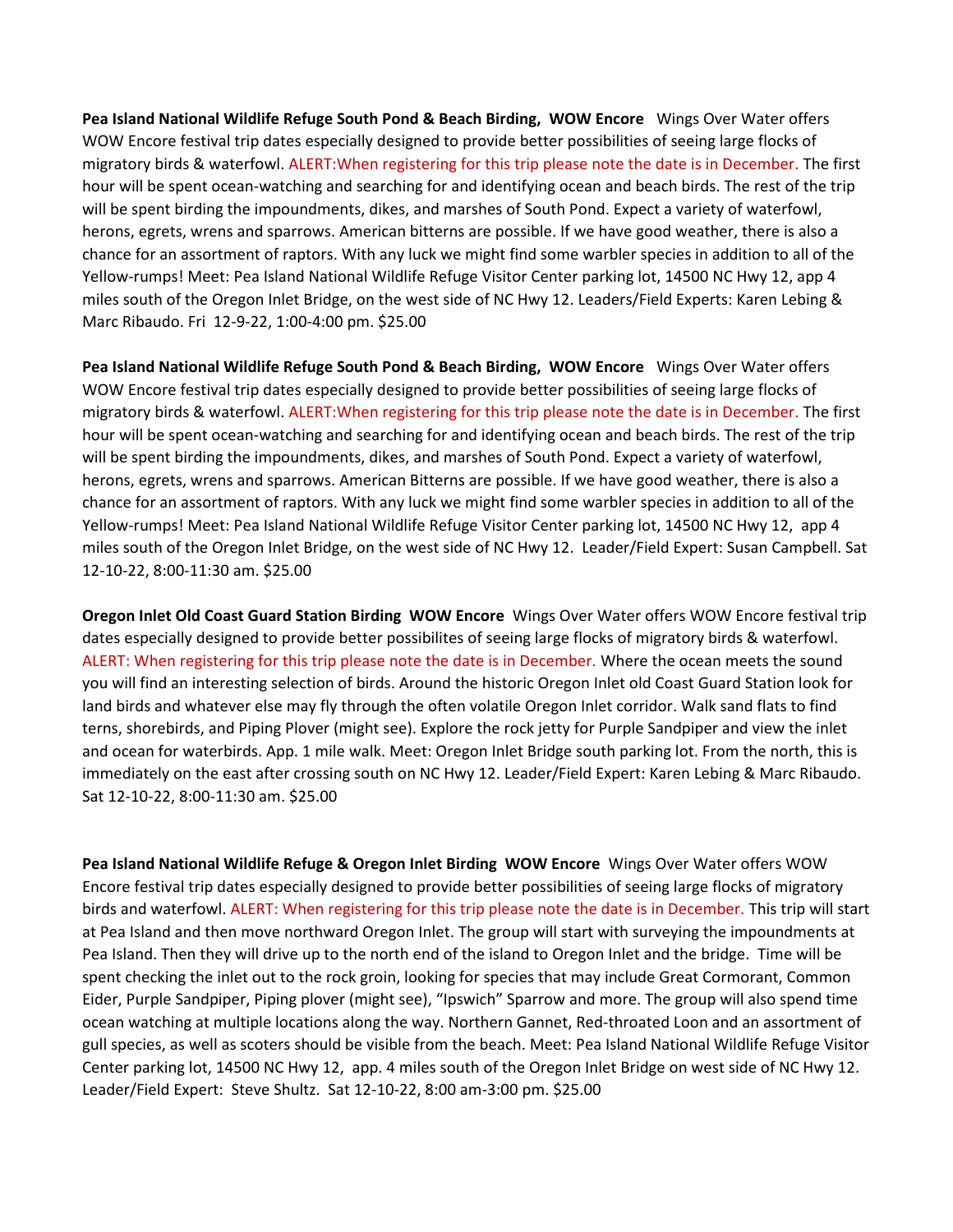**Pea Island National Wildlife Refuge South Pond & Beach Birding, WOW Encore** Wings Over Water offers WOW Encore festival trip dates especially designed to provide better possibilities of seeing large flocks of migratory birds & waterfowl. ALERT:When registering for this trip please note the date is in December. The first hour will be spent ocean-watching and searching for and identifying ocean and beach birds. The rest of the trip will be spent birding the impoundments, dikes, and marshes of South Pond. Expect a variety of waterfowl, herons, egrets, wrens and sparrows. American bitterns are possible. If we have good weather, there is also a chance for an assortment of raptors. With any luck we might find some warbler species in addition to all of the Yellow-rumps! Meet: Pea Island National Wildlife Refuge Visitor Center parking lot, 14500 NC Hwy 12, app 4 miles south of the Oregon Inlet Bridge, on the west side of NC Hwy 12. Leaders/Field Experts: Karen Lebing & Marc Ribaudo. Fri 12-9-22, 1:00-4:00 pm. \$25.00

**Pea Island National Wildlife Refuge South Pond & Beach Birding, WOW Encore** Wings Over Water offers WOW Encore festival trip dates especially designed to provide better possibilities of seeing large flocks of migratory birds & waterfowl. ALERT:When registering for this trip please note the date is in December. The first hour will be spent ocean-watching and searching for and identifying ocean and beach birds. The rest of the trip will be spent birding the impoundments, dikes, and marshes of South Pond. Expect a variety of waterfowl, herons, egrets, wrens and sparrows. American Bitterns are possible. If we have good weather, there is also a chance for an assortment of raptors. With any luck we might find some warbler species in addition to all of the Yellow-rumps! Meet: Pea Island National Wildlife Refuge Visitor Center parking lot, 14500 NC Hwy 12, app 4 miles south of the Oregon Inlet Bridge, on the west side of NC Hwy 12. Leader/Field Expert: Susan Campbell. Sat 12-10-22, 8:00-11:30 am. \$25.00

**Oregon Inlet Old Coast Guard Station Birding WOW Encore** Wings Over Water offers WOW Encore festival trip dates especially designed to provide better possibilites of seeing large flocks of migratory birds & waterfowl. ALERT: When registering for this trip please note the date is in December. Where the ocean meets the sound you will find an interesting selection of birds. Around the historic Oregon Inlet old Coast Guard Station look for land birds and whatever else may fly through the often volatile Oregon Inlet corridor. Walk sand flats to find terns, shorebirds, and Piping Plover (might see). Explore the rock jetty for Purple Sandpiper and view the inlet and ocean for waterbirds. App. 1 mile walk. Meet: Oregon Inlet Bridge south parking lot. From the north, this is immediately on the east after crossing south on NC Hwy 12. Leader/Field Expert: Karen Lebing & Marc Ribaudo. Sat 12-10-22, 8:00-11:30 am. \$25.00

**Pea Island National Wildlife Refuge & Oregon Inlet Birding WOW Encore** Wings Over Water offers WOW Encore festival trip dates especially designed to provide better possibilities of seeing large flocks of migratory birds and waterfowl. ALERT: When registering for this trip please note the date is in December. This trip will start at Pea Island and then move northward Oregon Inlet. The group will start with surveying the impoundments at Pea Island. Then they will drive up to the north end of the island to Oregon Inlet and the bridge. Time will be spent checking the inlet out to the rock groin, looking for species that may include Great Cormorant, Common Eider, Purple Sandpiper, Piping plover (might see), "Ipswich" Sparrow and more. The group will also spend time ocean watching at multiple locations along the way. Northern Gannet, Red-throated Loon and an assortment of gull species, as well as scoters should be visible from the beach. Meet: Pea Island National Wildlife Refuge Visitor Center parking lot, 14500 NC Hwy 12, app. 4 miles south of the Oregon Inlet Bridge on west side of NC Hwy 12. Leader/Field Expert: Steve Shultz. Sat 12-10-22, 8:00 am-3:00 pm. \$25.00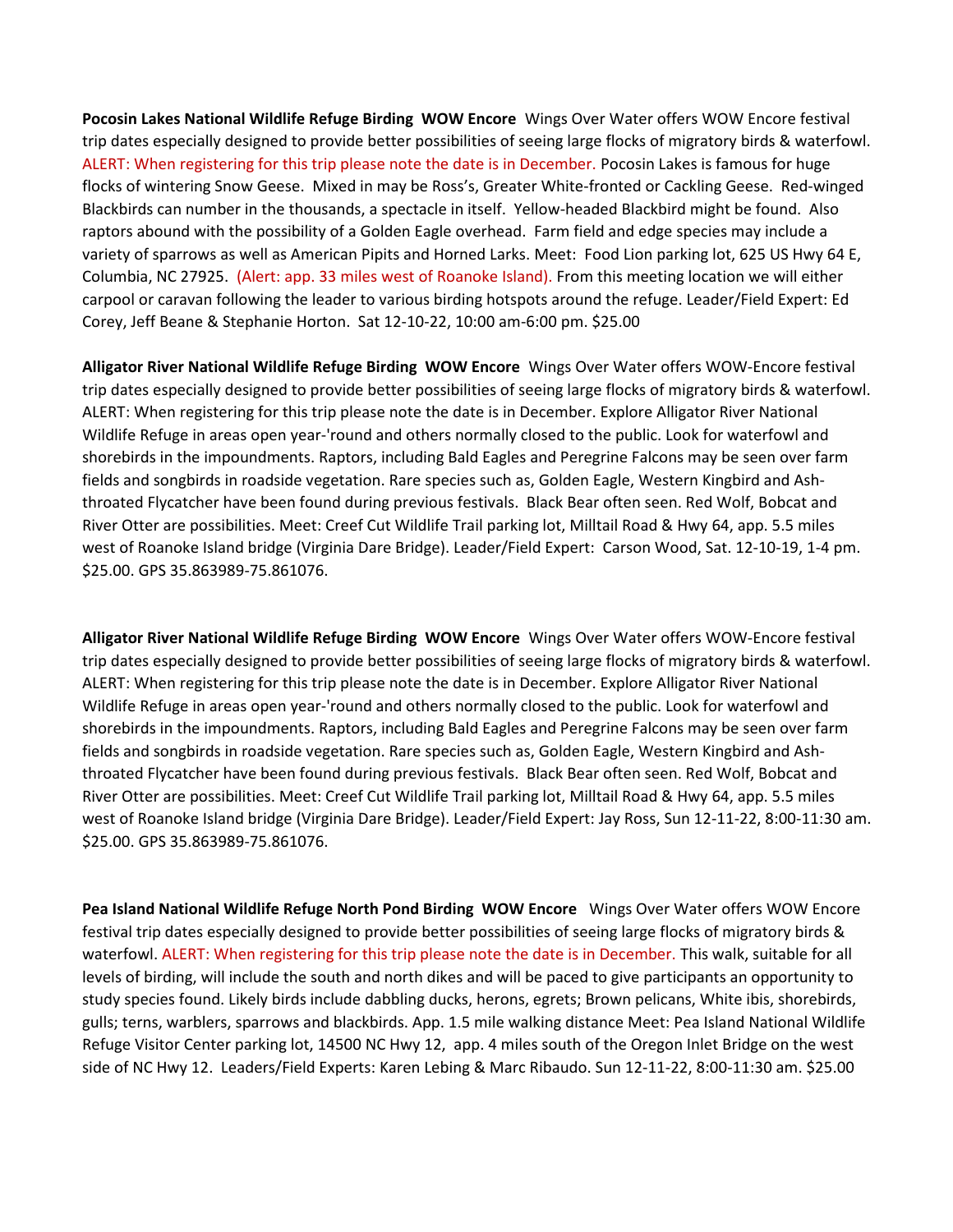**Pocosin Lakes National Wildlife Refuge Birding WOW Encore** Wings Over Water offers WOW Encore festival trip dates especially designed to provide better possibilities of seeing large flocks of migratory birds & waterfowl. ALERT: When registering for this trip please note the date is in December. Pocosin Lakes is famous for huge flocks of wintering Snow Geese. Mixed in may be Ross's, Greater White-fronted or Cackling Geese. Red-winged Blackbirds can number in the thousands, a spectacle in itself. Yellow-headed Blackbird might be found. Also raptors abound with the possibility of a Golden Eagle overhead. Farm field and edge species may include a variety of sparrows as well as American Pipits and Horned Larks. Meet: Food Lion parking lot, 625 US Hwy 64 E, Columbia, NC 27925. (Alert: app. 33 miles west of Roanoke Island). From this meeting location we will either carpool or caravan following the leader to various birding hotspots around the refuge. Leader/Field Expert: Ed Corey, Jeff Beane & Stephanie Horton. Sat 12-10-22, 10:00 am-6:00 pm. \$25.00

**Alligator River National Wildlife Refuge Birding WOW Encore** Wings Over Water offers WOW-Encore festival trip dates especially designed to provide better possibilities of seeing large flocks of migratory birds & waterfowl. ALERT: When registering for this trip please note the date is in December. Explore Alligator River National Wildlife Refuge in areas open year-'round and others normally closed to the public. Look for waterfowl and shorebirds in the impoundments. Raptors, including Bald Eagles and Peregrine Falcons may be seen over farm fields and songbirds in roadside vegetation. Rare species such as, Golden Eagle, Western Kingbird and Ashthroated Flycatcher have been found during previous festivals. Black Bear often seen. Red Wolf, Bobcat and River Otter are possibilities. Meet: Creef Cut Wildlife Trail parking lot, Milltail Road & Hwy 64, app. 5.5 miles west of Roanoke Island bridge (Virginia Dare Bridge). Leader/Field Expert: Carson Wood, Sat. 12-10-19, 1-4 pm. \$25.00. GPS 35.863989-75.861076.

**Alligator River National Wildlife Refuge Birding WOW Encore** Wings Over Water offers WOW-Encore festival trip dates especially designed to provide better possibilities of seeing large flocks of migratory birds & waterfowl. ALERT: When registering for this trip please note the date is in December. Explore Alligator River National Wildlife Refuge in areas open year-'round and others normally closed to the public. Look for waterfowl and shorebirds in the impoundments. Raptors, including Bald Eagles and Peregrine Falcons may be seen over farm fields and songbirds in roadside vegetation. Rare species such as, Golden Eagle, Western Kingbird and Ashthroated Flycatcher have been found during previous festivals. Black Bear often seen. Red Wolf, Bobcat and River Otter are possibilities. Meet: Creef Cut Wildlife Trail parking lot, Milltail Road & Hwy 64, app. 5.5 miles west of Roanoke Island bridge (Virginia Dare Bridge). Leader/Field Expert: Jay Ross, Sun 12-11-22, 8:00-11:30 am. \$25.00. GPS 35.863989-75.861076.

**Pea Island National Wildlife Refuge North Pond Birding WOW Encore** Wings Over Water offers WOW Encore festival trip dates especially designed to provide better possibilities of seeing large flocks of migratory birds & waterfowl. ALERT: When registering for this trip please note the date is in December. This walk, suitable for all levels of birding, will include the south and north dikes and will be paced to give participants an opportunity to study species found. Likely birds include dabbling ducks, herons, egrets; Brown pelicans, White ibis, shorebirds, gulls; terns, warblers, sparrows and blackbirds. App. 1.5 mile walking distance Meet: Pea Island National Wildlife Refuge Visitor Center parking lot, 14500 NC Hwy 12, app. 4 miles south of the Oregon Inlet Bridge on the west side of NC Hwy 12. Leaders/Field Experts: Karen Lebing & Marc Ribaudo. Sun 12-11-22, 8:00-11:30 am. \$25.00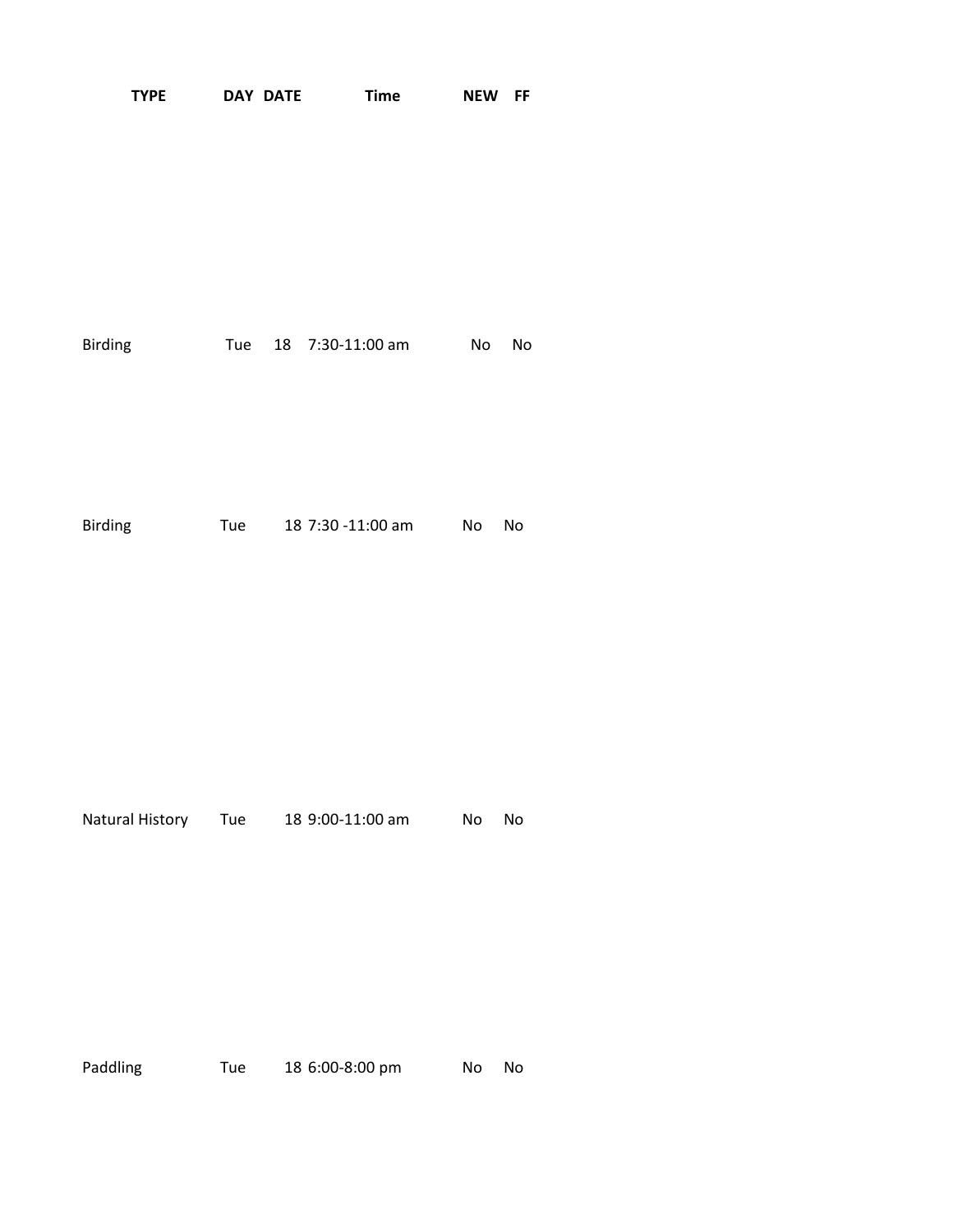| <b>TYPE</b>         |     | <b>DAY DATE</b> | <b>Time</b>       | <b>NEW</b> | FF |
|---------------------|-----|-----------------|-------------------|------------|----|
|                     |     |                 |                   |            |    |
| Birding             | Tue |                 | 18 7:30-11:00 am  | <b>No</b>  | No |
| Birding             | Tue |                 | 18 7:30 -11:00 am | No         | No |
| Natural History Tue |     |                 | 18 9:00-11:00 am  | No         | No |
|                     |     |                 |                   |            |    |

Paddling Tue 18 6:00-8:00 pm No No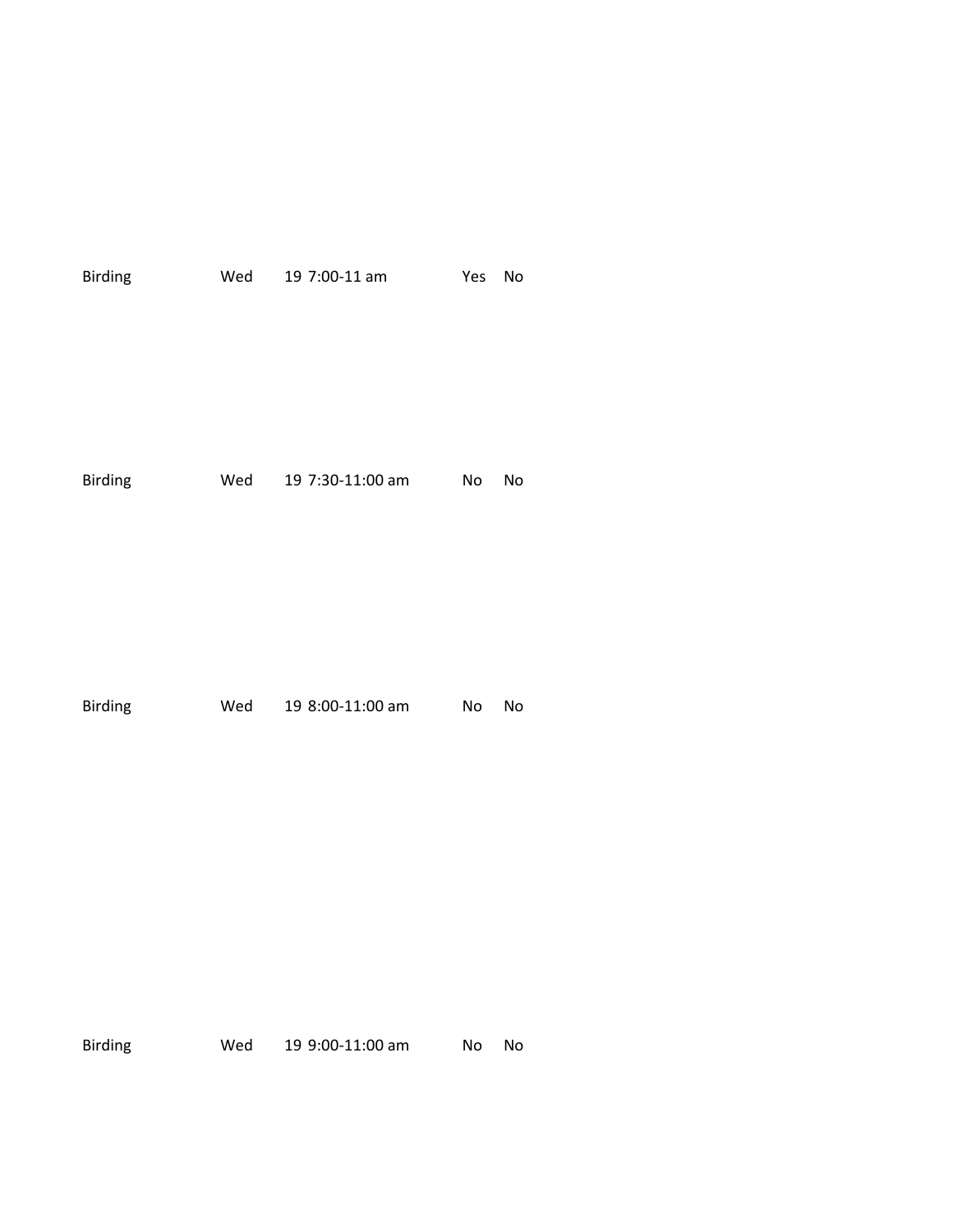| Birding        | Wed | 19 7:00-11 am    | Yes | No |
|----------------|-----|------------------|-----|----|
| <b>Birding</b> | Wed | 19 7:30-11:00 am | No  | No |
| <b>Birding</b> | Wed | 19 8:00-11:00 am | No  | No |

Birding Wed 19 9:00-11:00 am No No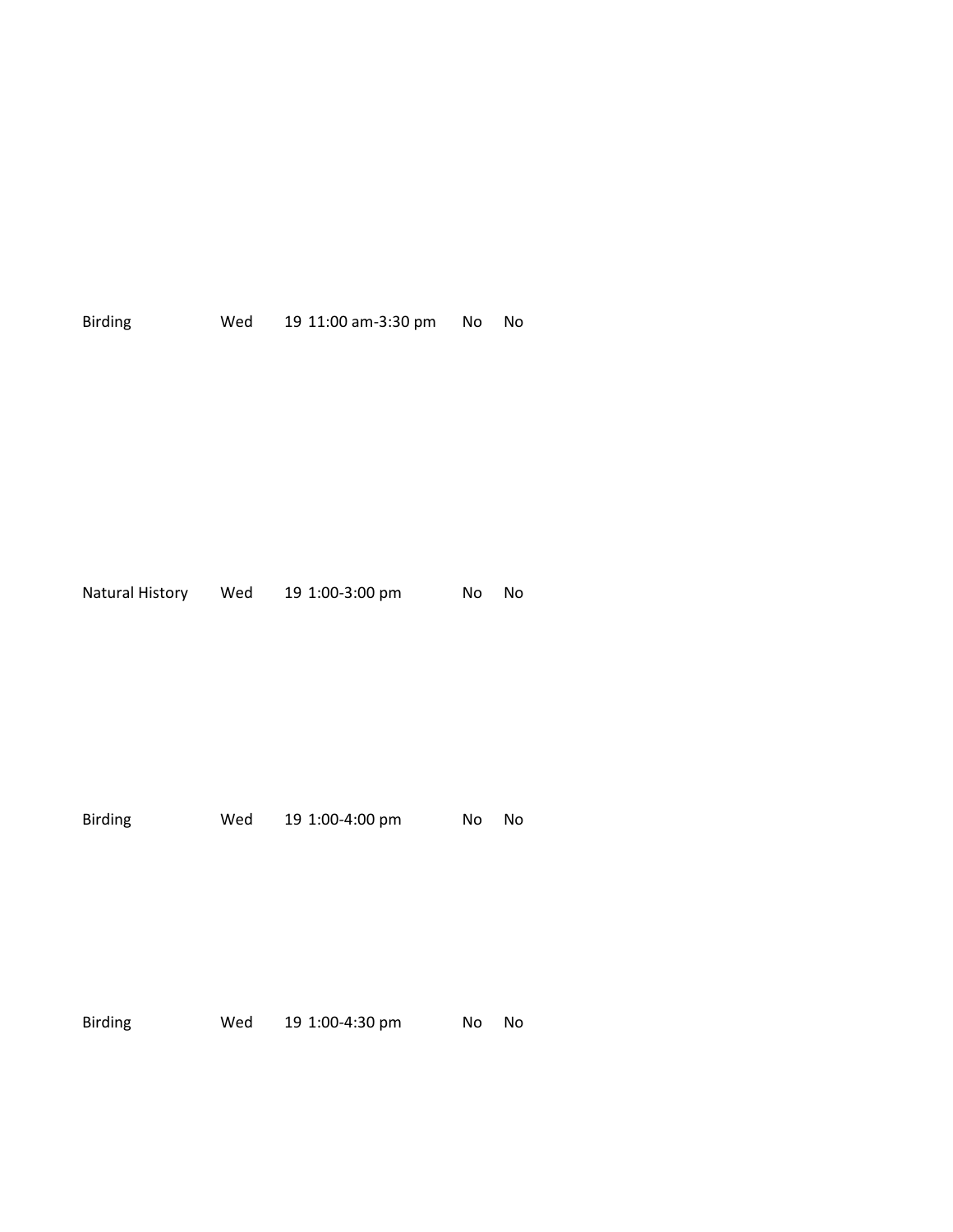|                |     | Natural History Wed 19 1:00-3:00 pm | <b>No</b> | No |
|----------------|-----|-------------------------------------|-----------|----|
| <b>Birding</b> | Wed | 19 1:00-4:00 pm                     | No        | No |
| <b>Birding</b> | Wed | 19 1:00-4:30 pm                     | No        | No |

Birding Wed 19 11:00 am-3:30 pm No No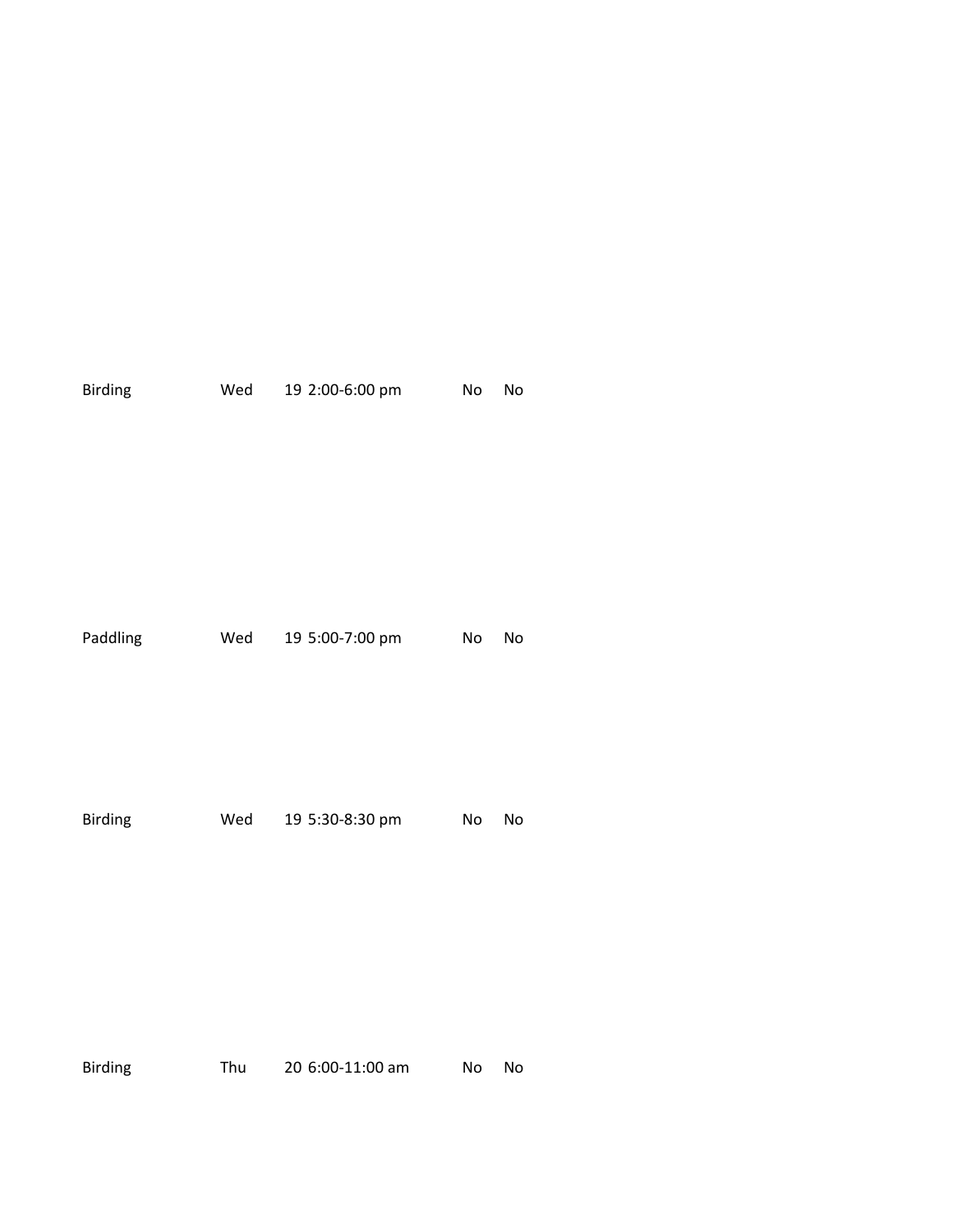| Wed | 19 2:00-6:00 pm | No         | No |
|-----|-----------------|------------|----|
|     | 19 5:00-7:00 pm | No         | No |
|     | 19 5:30-8:30 pm | No         | No |
|     |                 | Wed<br>Wed |    |

Birding Thu 20 6:00-11:00 am No No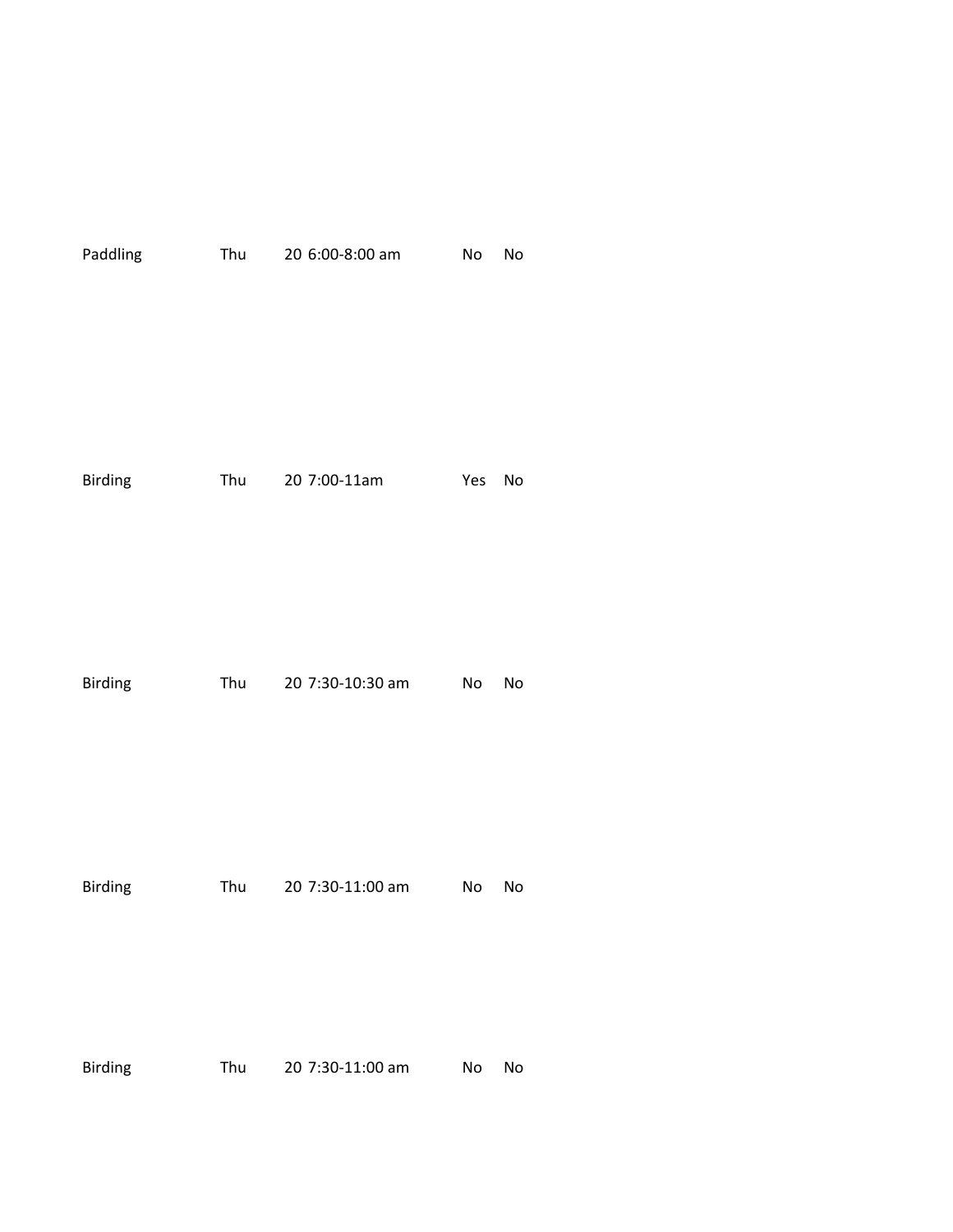| Paddling       | Thu | 20 6:00-8:00 am  | No        | No |
|----------------|-----|------------------|-----------|----|
| <b>Birding</b> |     | Thu 20 7:00-11am | Yes       | No |
| <b>Birding</b> | Thu | 20 7:30-10:30 am | No        | No |
| <b>Birding</b> | Thu | 20 7:30-11:00 am | <b>No</b> | No |
| <b>Birding</b> | Thu | 20 7:30-11:00 am | No        | No |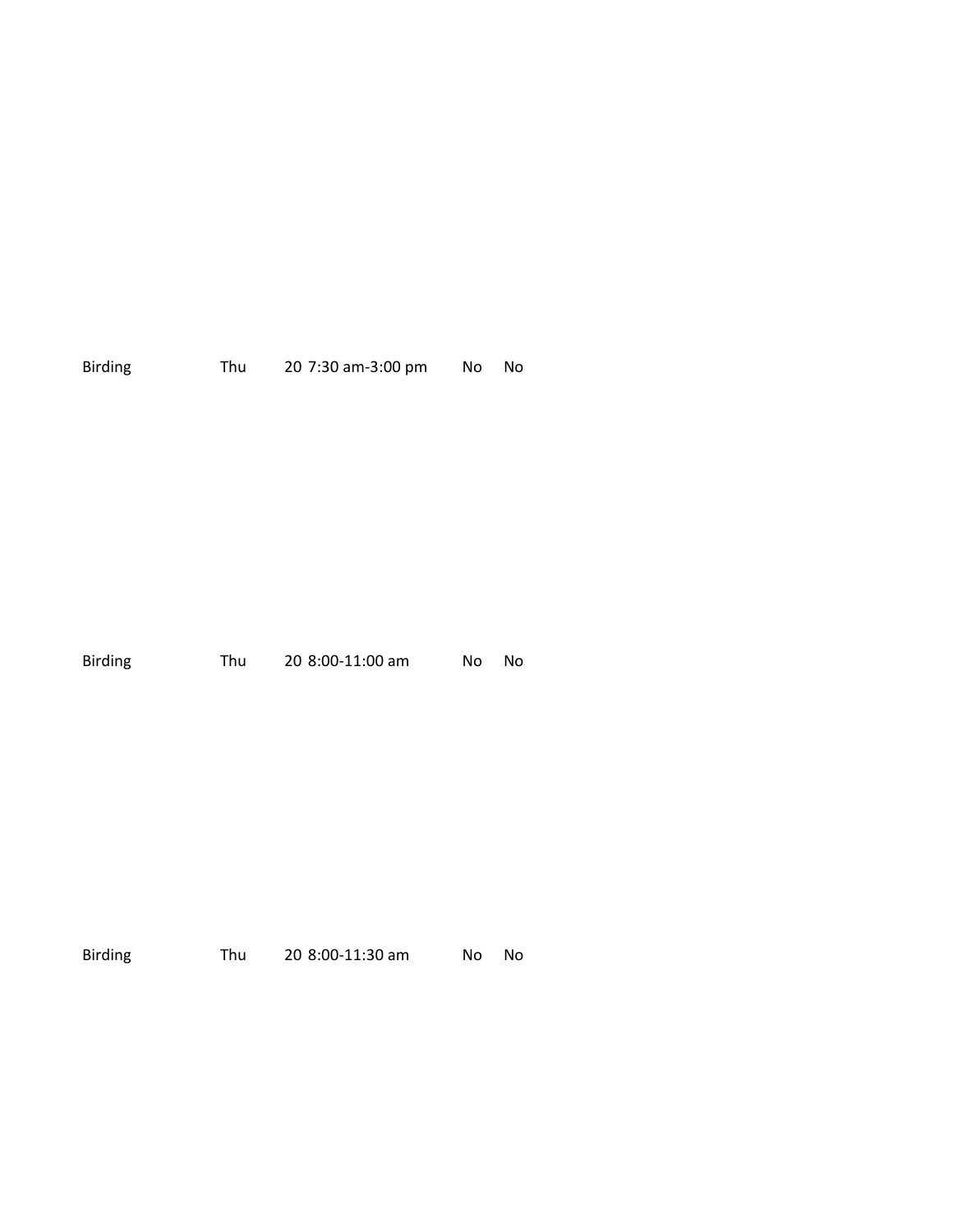| <b>Birding</b> | Thu | 20 7:30 am-3:00 pm |  | No No |
|----------------|-----|--------------------|--|-------|
|----------------|-----|--------------------|--|-------|

| Birding | Thu | 20 8:00-11:00 am | No No |  |
|---------|-----|------------------|-------|--|
|         |     |                  |       |  |

| <b>Birding</b> | Thu | 20 8:00-11:30 am | No. | - No |
|----------------|-----|------------------|-----|------|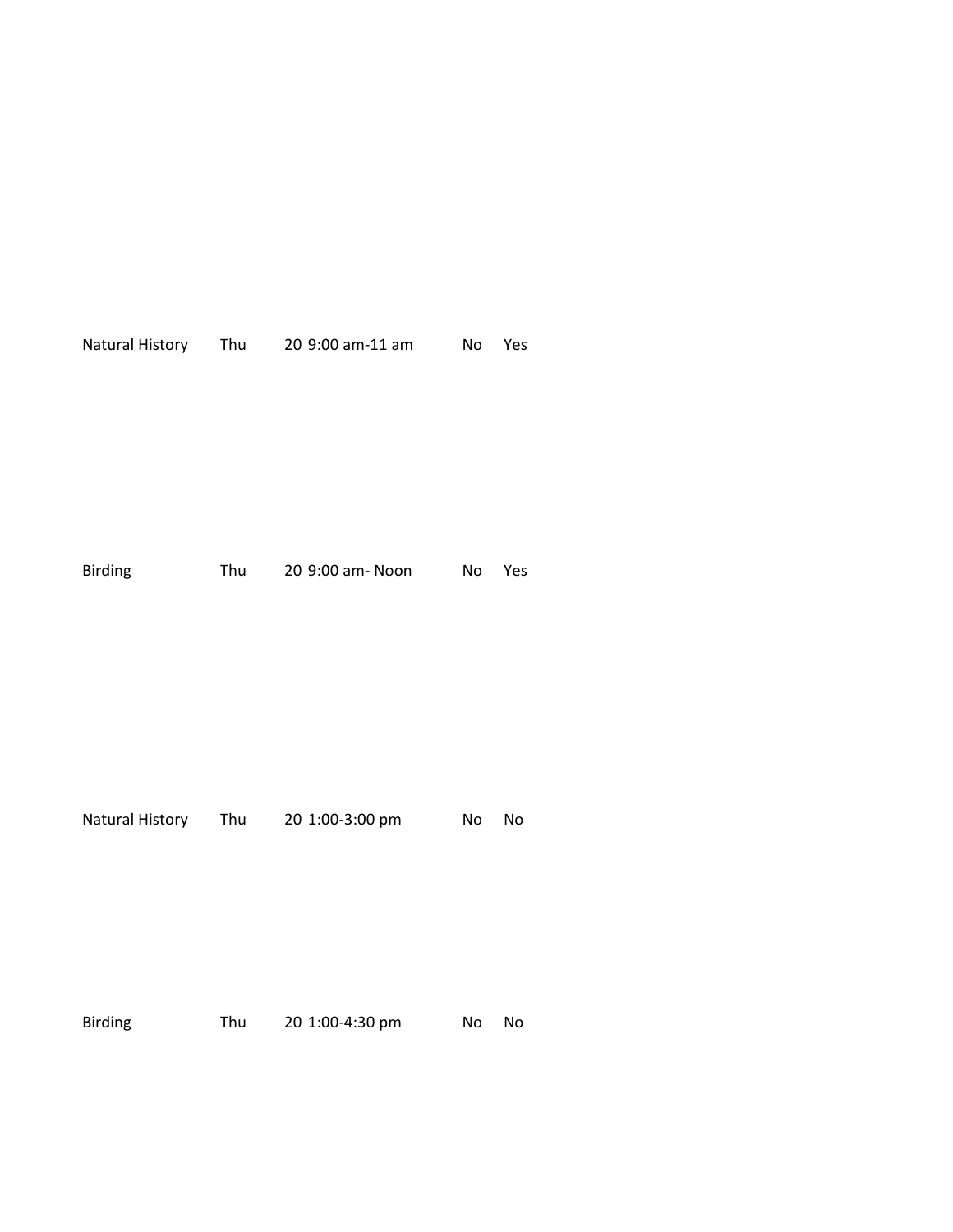|                |     | Natural History Thu 20 9:00 am-11 am No Yes       |       |     |
|----------------|-----|---------------------------------------------------|-------|-----|
| <b>Birding</b> | Thu | 20 9:00 am- Noon No                               |       | Yes |
|                |     | Natural History Thu 20 1:00-3:00 pm<br><b>No.</b> |       | No  |
| Birding        | Thu | 20 1:00-4:30 pm                                   | No No |     |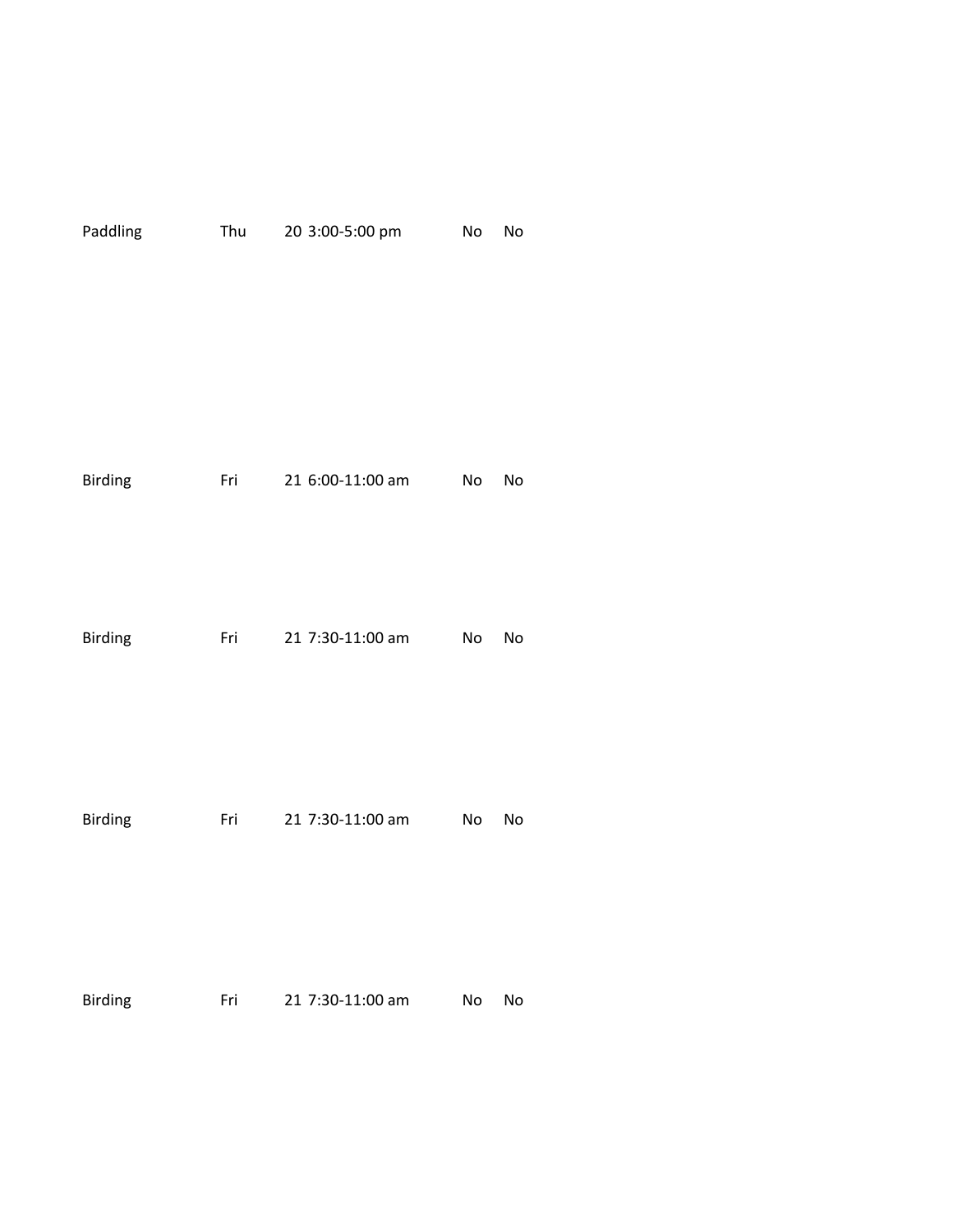| Paddling       | Thu | 20 3:00-5:00 pm  | No | No |
|----------------|-----|------------------|----|----|
| <b>Birding</b> | Fri | 21 6:00-11:00 am | No | No |
| <b>Birding</b> | Fri | 21 7:30-11:00 am | No | No |
| <b>Birding</b> | Fri | 21 7:30-11:00 am | No | No |
| Birding        | Fri | 21 7:30-11:00 am | No | No |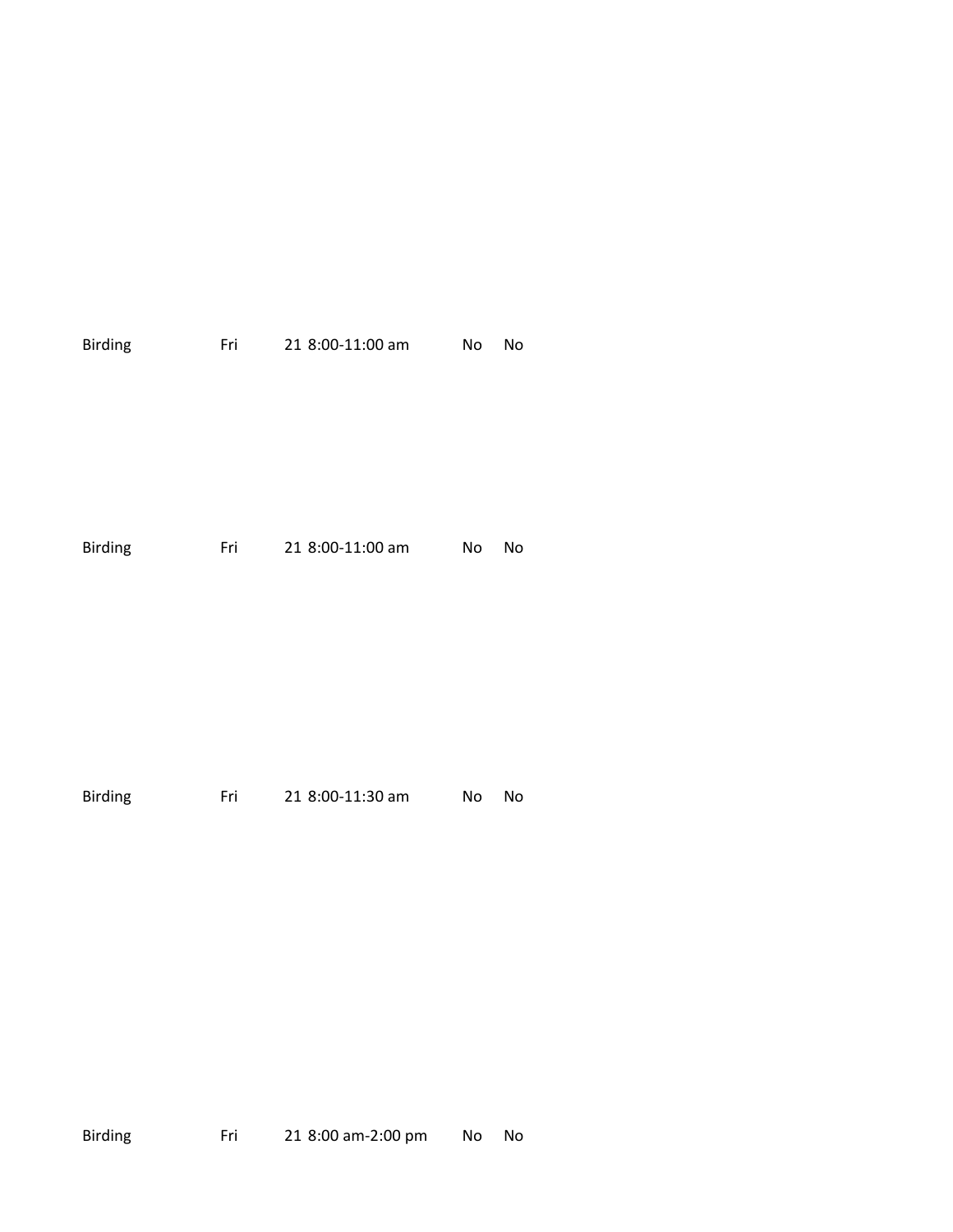| Birding        | Fri | 21 8:00-11:00 am | No | No |
|----------------|-----|------------------|----|----|
| <b>Birding</b> | Fri | 21 8:00-11:00 am | No | No |
| <b>Birding</b> | Fri | 21 8:00-11:30 am | No | No |

Birding Fri 21 8:00 am-2:00 pm No No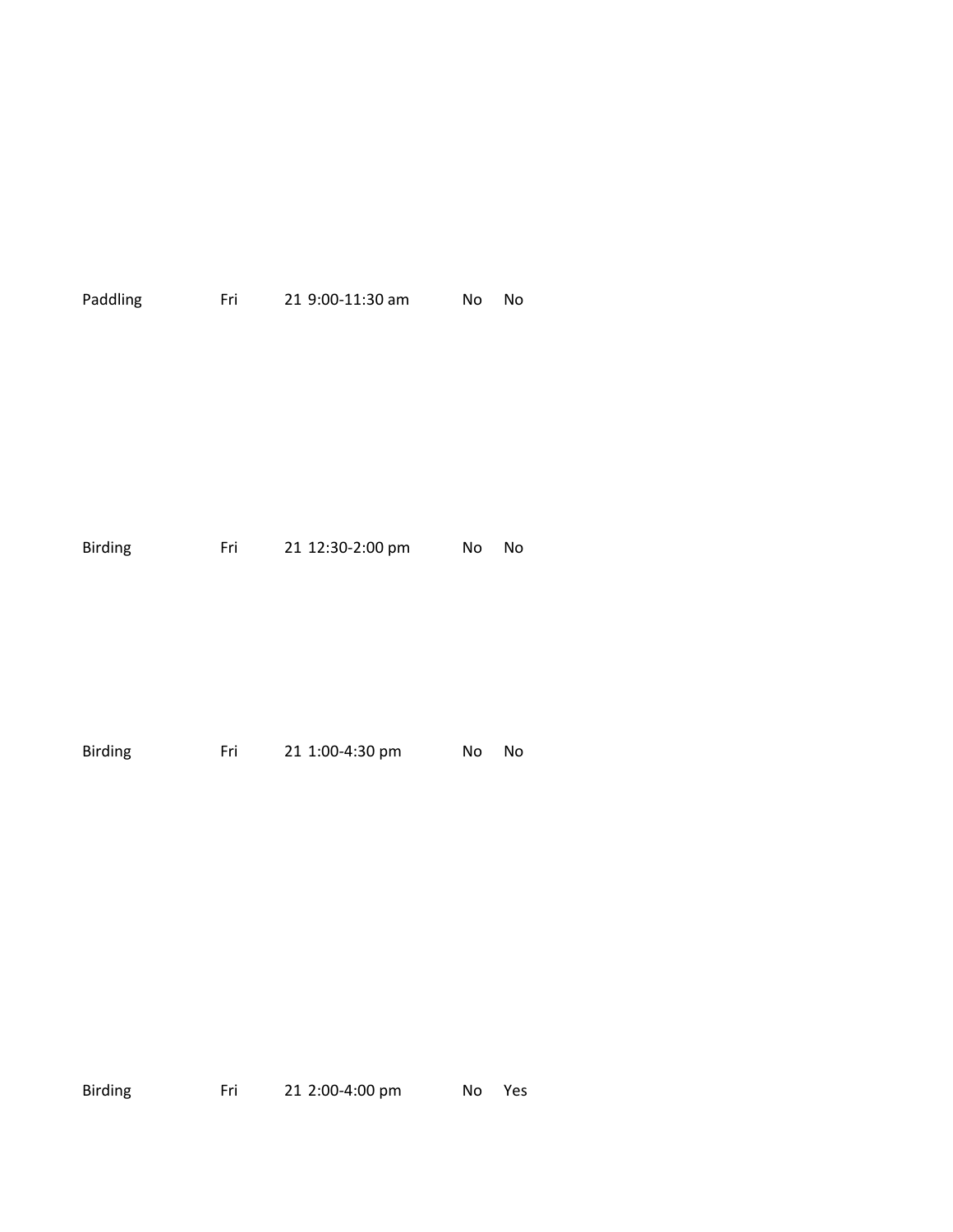| Paddling       | Fri 1999 | 21 9:00-11:30 am | No | No |
|----------------|----------|------------------|----|----|
|                |          |                  |    |    |
|                |          |                  |    |    |
|                |          |                  |    |    |
|                |          |                  |    |    |
| <b>Birding</b> | Fri      | 21 12:30-2:00 pm | No | No |
|                |          |                  |    |    |
|                |          |                  |    |    |
|                |          |                  |    |    |
|                |          |                  |    |    |
| <b>Birding</b> | Fri      | 21 1:00-4:30 pm  | No | No |
|                |          |                  |    |    |

Birding Fri 21 2:00-4:00 pm No Yes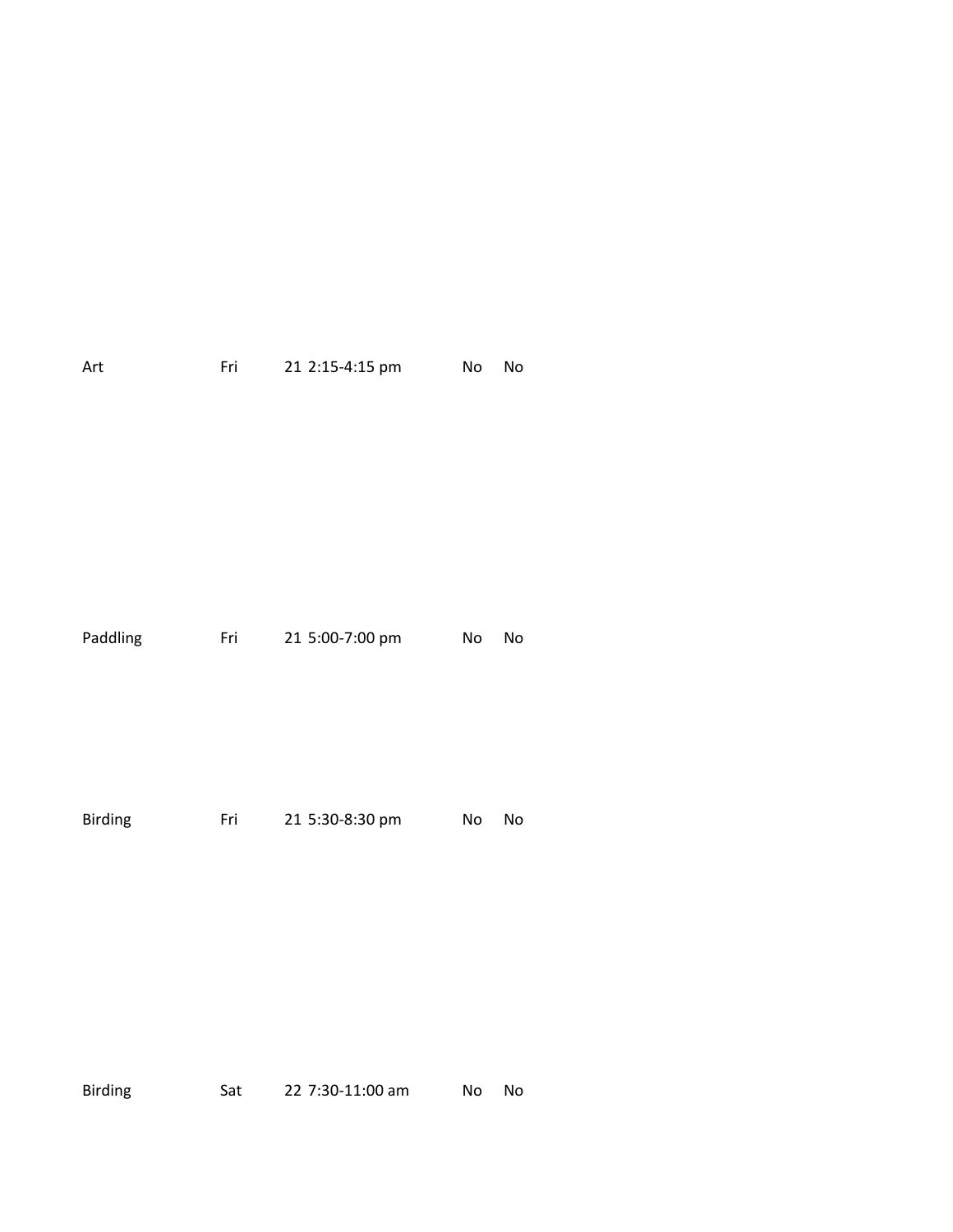| Art      | Fri | 21 2:15-4:15 pm | No | No |
|----------|-----|-----------------|----|----|
| Paddling | Fri | 21 5:00-7:00 pm | No | No |
| Birding  | Fri | 21 5:30-8:30 pm | No | No |

Birding Sat 22 7:30-11:00 am No No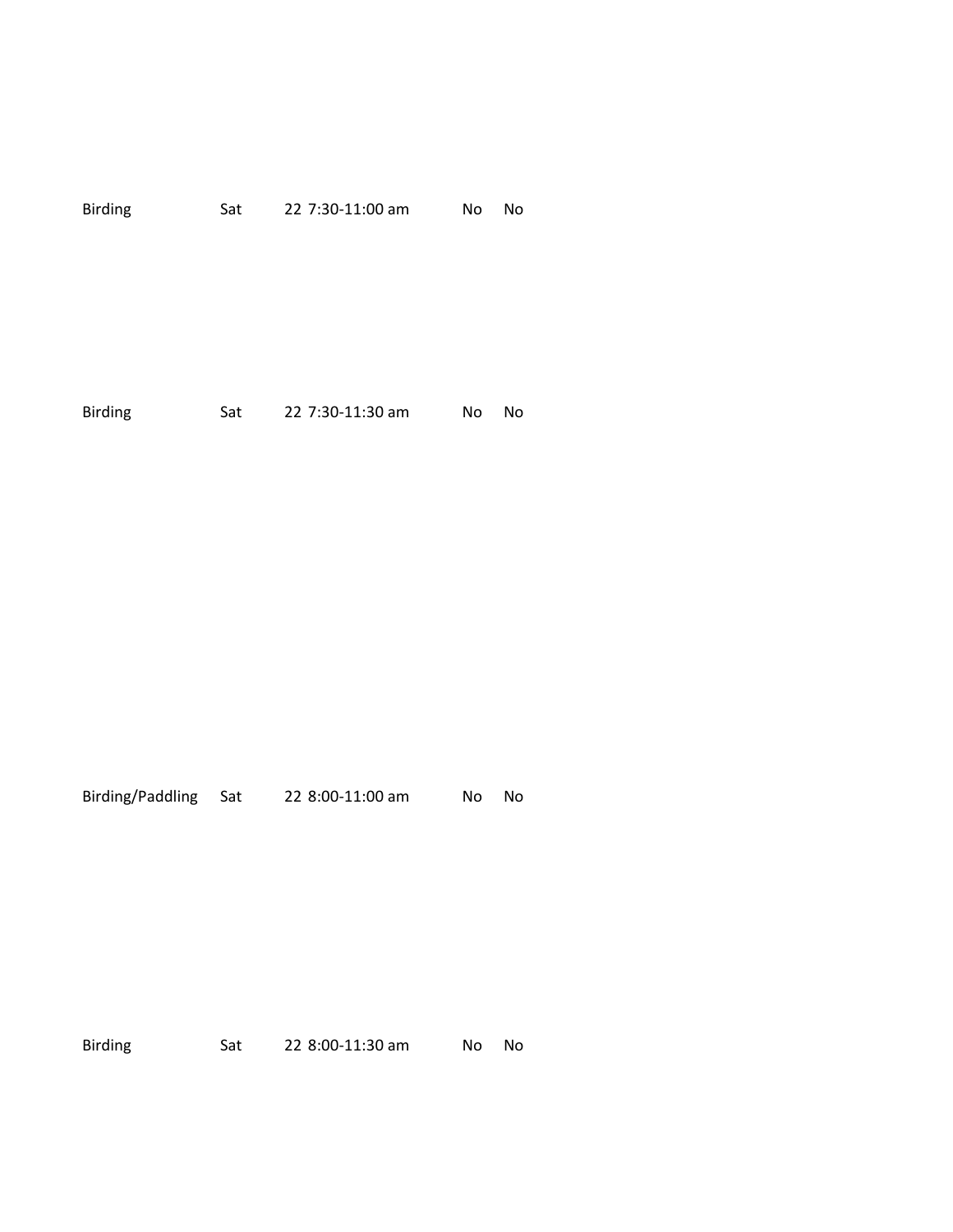| <b>Birding</b> | Sat | 22 7:30-11:00 am | No | No |
|----------------|-----|------------------|----|----|
|                |     |                  |    |    |
|                |     |                  |    |    |
| <b>Birding</b> | Sat | 22 7:30-11:30 am | No | No |

Birding/Paddling Sat 22 8:00-11:00 am No No

Birding Sat 22 8:00-11:30 am No No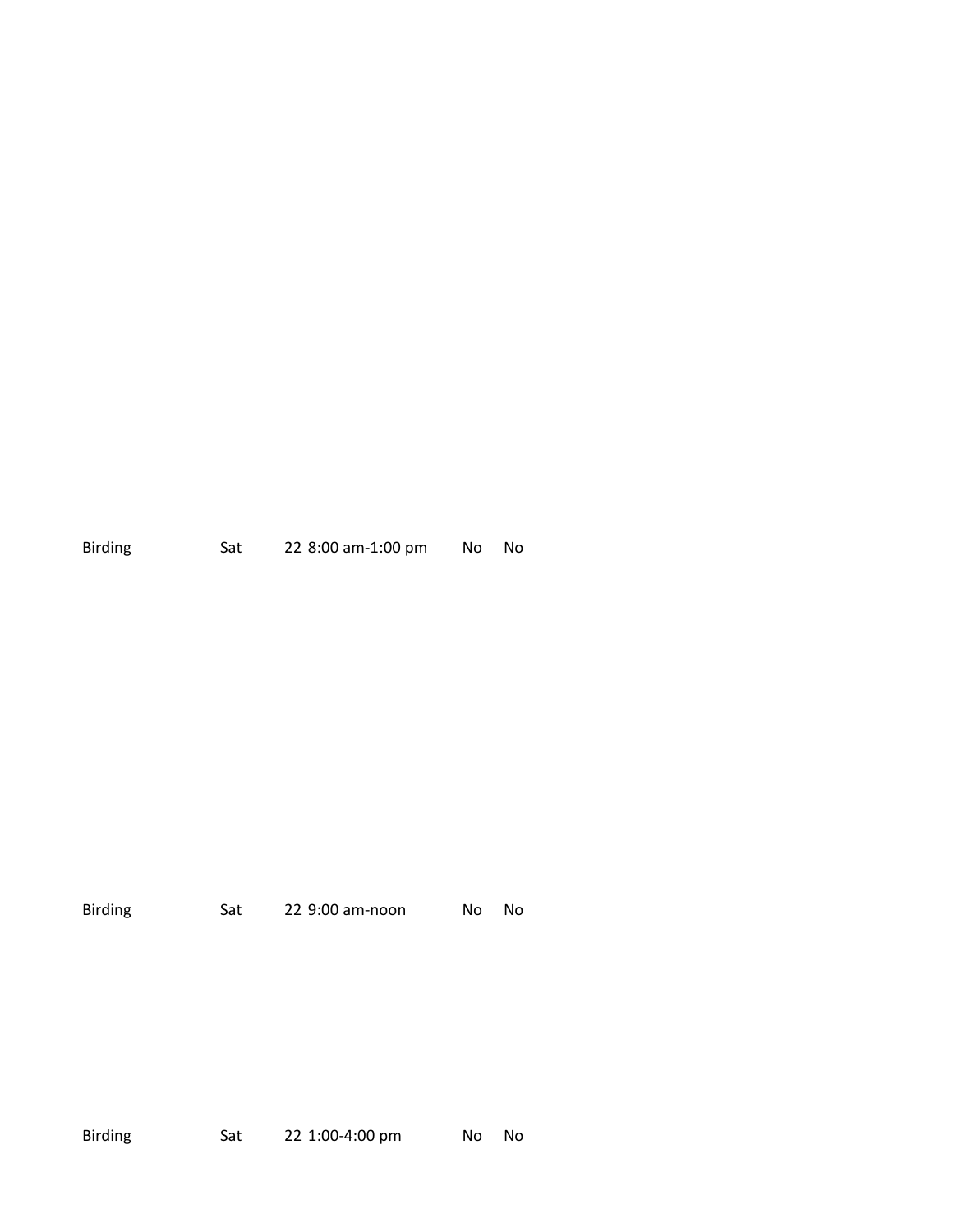| <b>Birding</b> | Sat | 22 8:00 am-1:00 pm | No No |  |  |
|----------------|-----|--------------------|-------|--|--|
|----------------|-----|--------------------|-------|--|--|

| <b>Birding</b> | Sat | 22 9:00 am-noon | No. | - No |
|----------------|-----|-----------------|-----|------|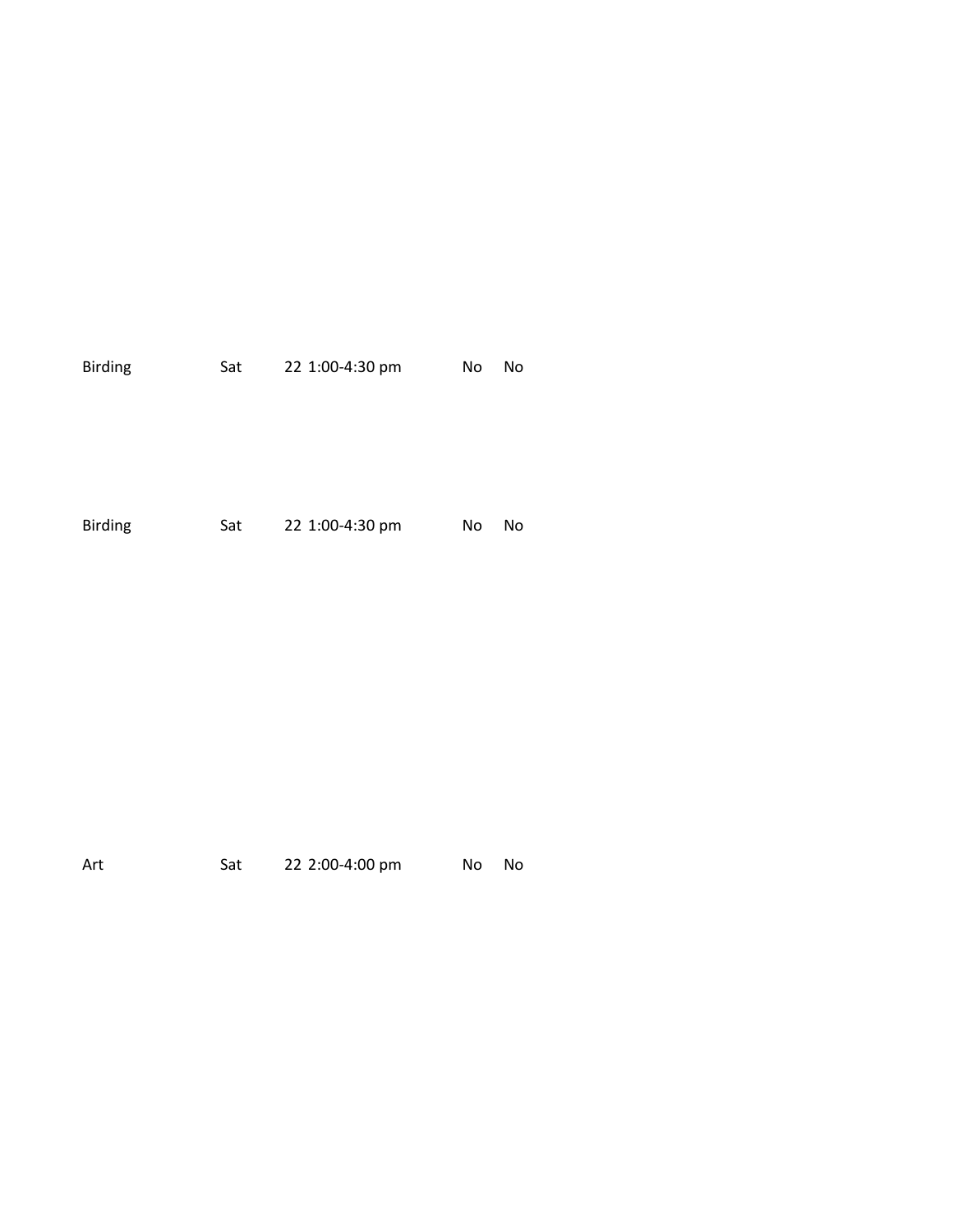| <b>Birding</b> | Sat | 22 1:00-4:30 pm | No | No |
|----------------|-----|-----------------|----|----|
| <b>Birding</b> | Sat | 22 1:00-4:30 pm | No | No |

| Art | Sat | 22 2:00-4:00 pm | No No |
|-----|-----|-----------------|-------|
|     |     |                 |       |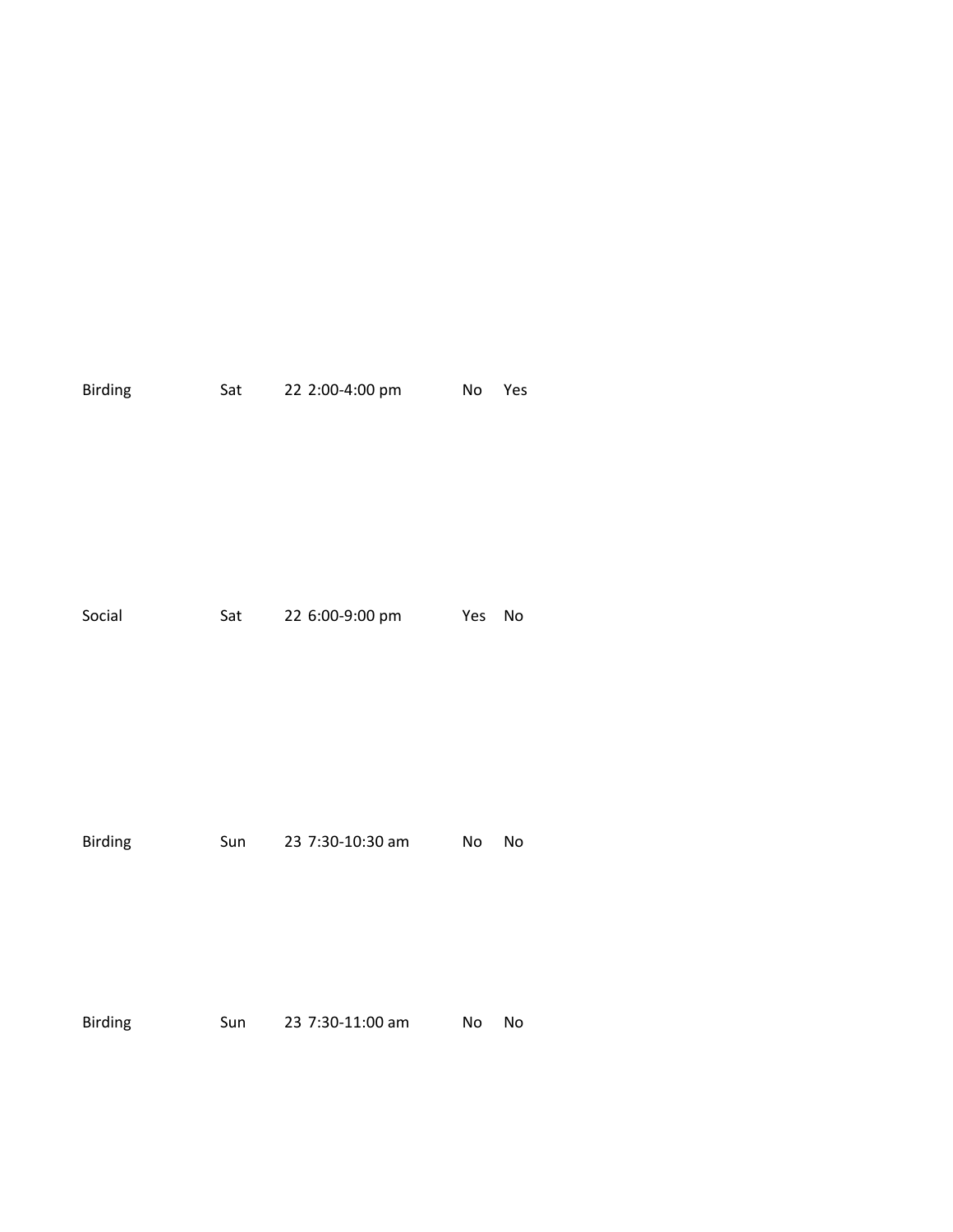| <b>Birding</b> | Sat | 22 2:00-4:00 pm     | No  | Yes |
|----------------|-----|---------------------|-----|-----|
| Social         |     | Sat 22 6:00-9:00 pm | Yes | No  |
| <b>Birding</b> | Sun | 23 7:30-10:30 am    | No  | No  |
| <b>Birding</b> | Sun | 23 7:30-11:00 am    | No  | No  |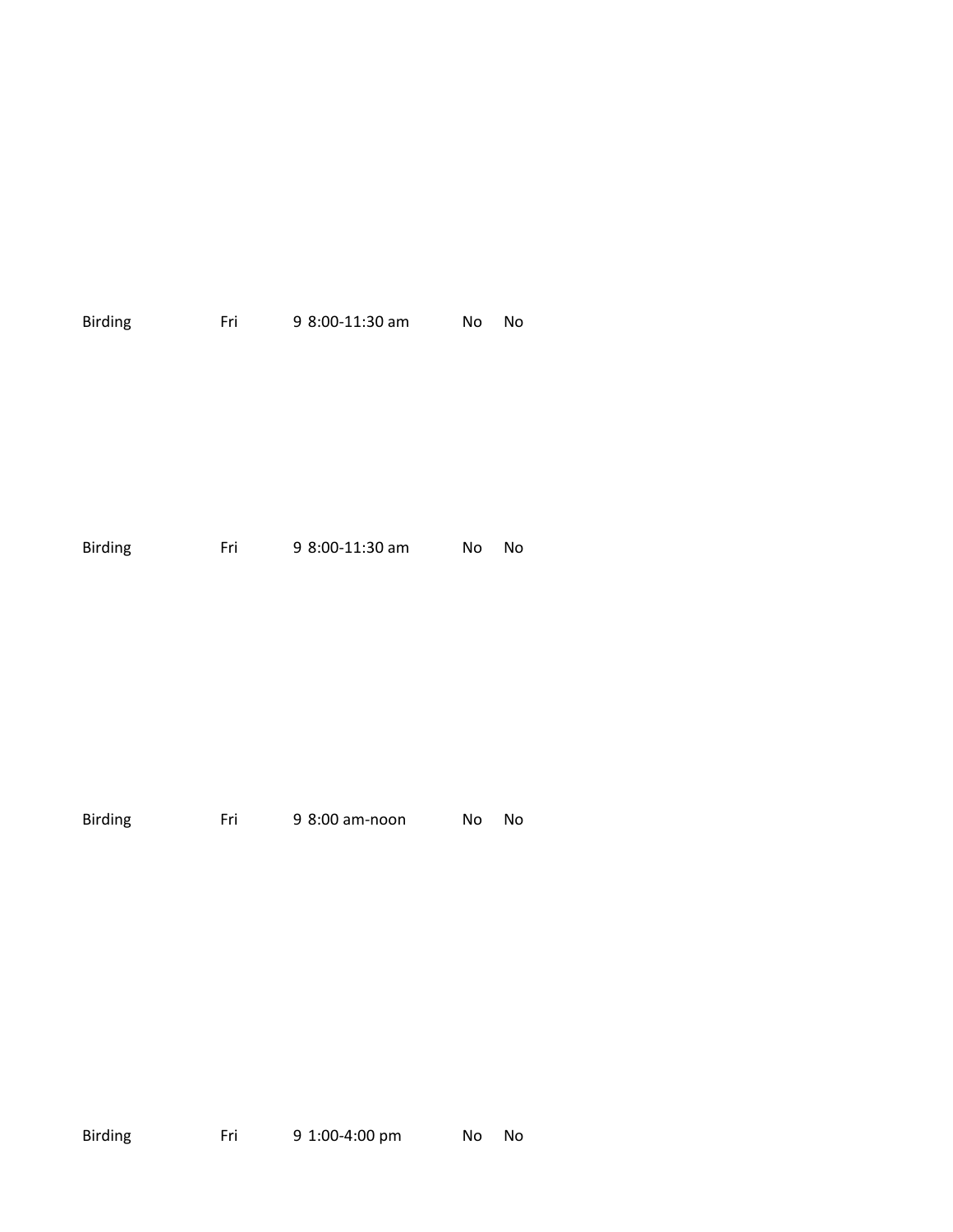| <b>Birding</b> | Fri | 9 8:00-11:30 am | No | No |
|----------------|-----|-----------------|----|----|
|                |     |                 |    |    |
|                |     |                 |    |    |
| <b>Birding</b> | Fri | 9 8:00-11:30 am | No | No |
|                |     |                 |    |    |
|                |     |                 |    |    |
| <b>Birding</b> | Fri | 9 8:00 am-noon  | No | No |

Birding Fri 9 1:00-4:00 pm No No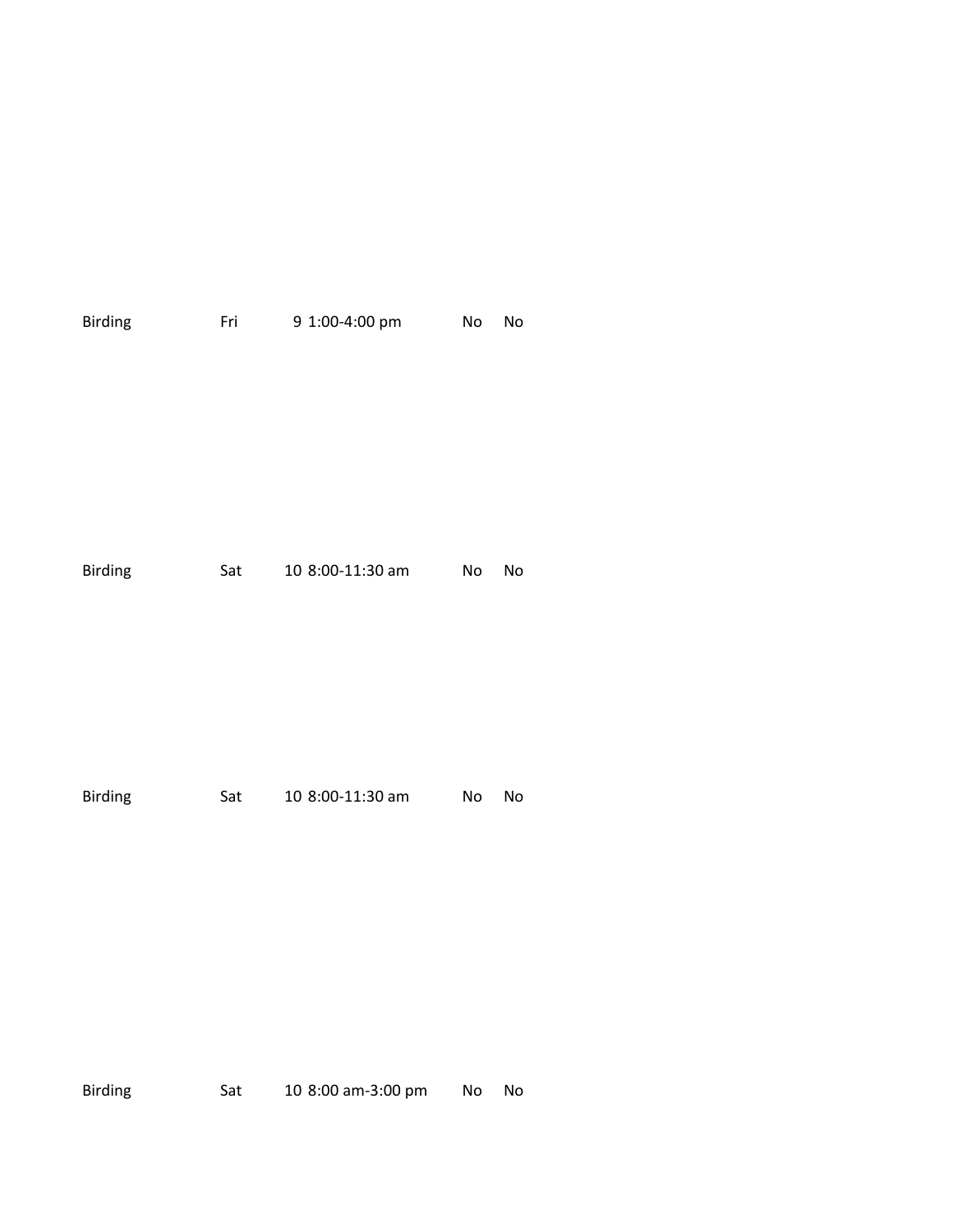| Birding | Fri | 9 1:00-4:00 pm   | No | No |
|---------|-----|------------------|----|----|
|         |     |                  |    |    |
|         |     |                  |    |    |
|         |     |                  |    |    |
|         |     |                  |    |    |
|         |     |                  |    |    |
|         |     |                  |    |    |
| Birding | Sat | 10 8:00-11:30 am | No | No |
|         |     |                  |    |    |
|         |     |                  |    |    |
|         |     |                  |    |    |
|         |     |                  |    |    |
|         |     |                  |    |    |
|         |     |                  |    |    |
| Birding | Sat | 10 8:00-11:30 am | No | No |
|         |     |                  |    |    |
|         |     |                  |    |    |

Birding Sat 10 8:00 am-3:00 pm No No